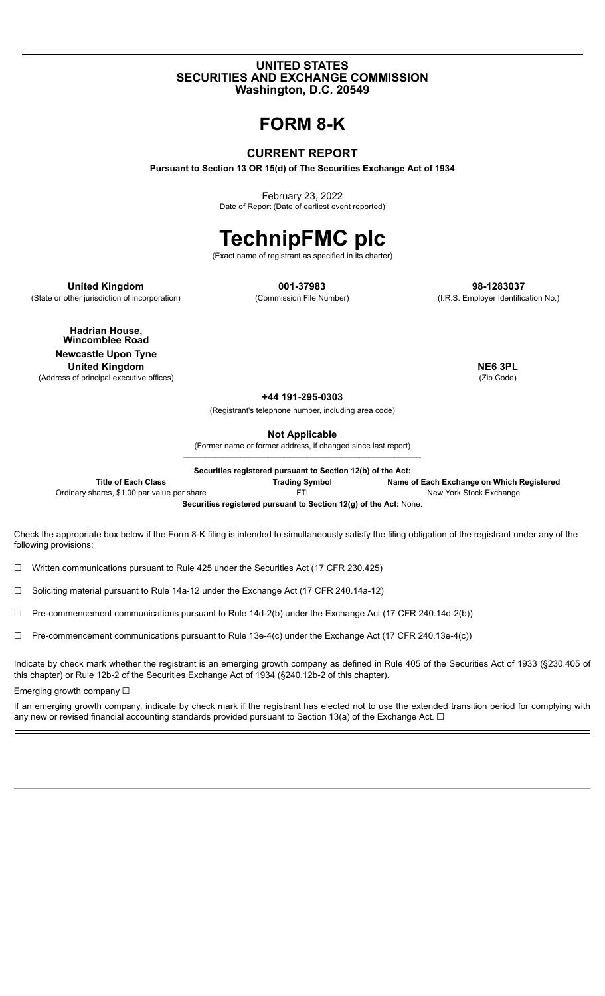#### **UNITED STATES SECURITIES AND EXCHANGE COMMISSION Washington, D.C. 20549**

**FORM 8-K**

## **CURRENT REPORT**

**Pursuant to Section 13 OR 15(d) of The Securities Exchange Act of 1934**

February 23, 2022

Date of Report (Date of earliest event reported)

# **TechnipFMC plc**

(Exact name of registrant as specified in its charter)

**United Kingdom 001-37983 98-1283037** (State or other jurisdiction of incorporation) (Commission File Number) (I.R.S. Employer Identification No.)

**Hadrian House, Wincomblee Road Newcastle Upon Tyne United Kingdom NE6 3PL** (Address of principal executive offices) (Zip Code)

**+44 191-295-0303**

(Registrant's telephone number, including area code)

**Not Applicable**

(Former name or former address, if changed since last report) \_\_\_\_\_\_\_\_\_\_\_\_\_\_\_\_\_\_\_\_\_\_\_\_\_\_\_\_\_\_\_\_\_\_\_\_\_\_\_\_\_\_\_\_\_\_\_\_\_\_\_\_\_\_

**Securities registered pursuant to Section 12(b) of the Act:**

**Title of Each Class Trading Symbol Name of Each Exchange on Which Registered** Ordinary shares, \$1.00 par value per share FTI FTI FTI New York Stock Exchange

**Securities registered pursuant to Section 12(g) of the Act:** None.

Check the appropriate box below if the Form 8-K filing is intended to simultaneously satisfy the filing obligation of the registrant under any of the following provisions:

☐ Written communications pursuant to Rule 425 under the Securities Act (17 CFR 230.425)

☐ Soliciting material pursuant to Rule 14a-12 under the Exchange Act (17 CFR 240.14a-12)

 $\Box$  Pre-commencement communications pursuant to Rule 14d-2(b) under the Exchange Act (17 CFR 240.14d-2(b))

☐ Pre-commencement communications pursuant to Rule 13e-4(c) under the Exchange Act (17 CFR 240.13e-4(c))

Indicate by check mark whether the registrant is an emerging growth company as defined in Rule 405 of the Securities Act of 1933 (§230.405 of this chapter) or Rule 12b-2 of the Securities Exchange Act of 1934 (§240.12b-2 of this chapter).

Emerging growth company □

If an emerging growth company, indicate by check mark if the registrant has elected not to use the extended transition period for complying with any new or revised financial accounting standards provided pursuant to Section 13(a) of the Exchange Act. □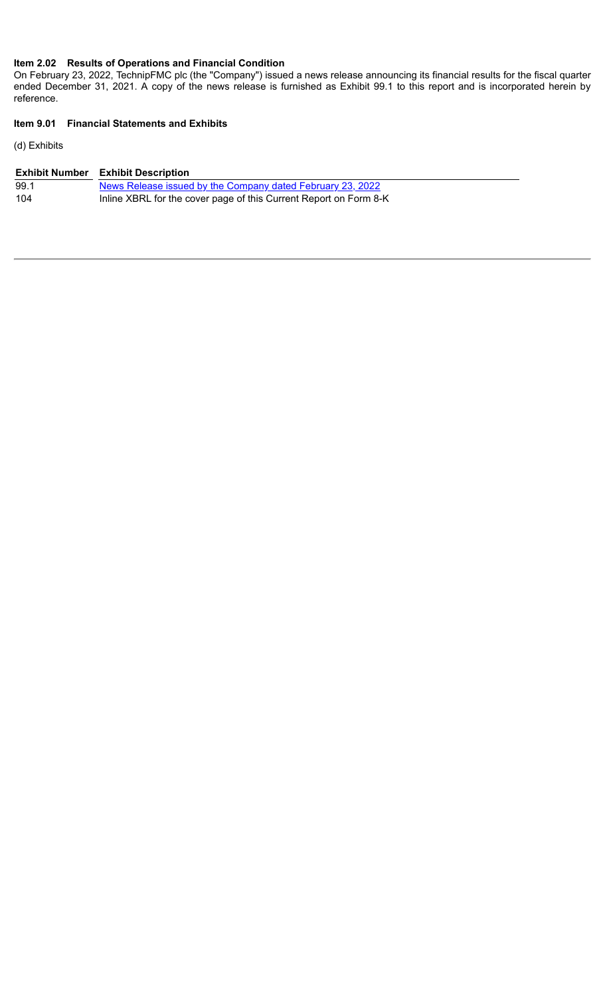#### **Item 2.02 Results of Operations and Financial Condition**

On February 23, 2022, TechnipFMC plc (the "Company") issued a news release announcing its financial results for the fiscal quarter ended December 31, 2021. A copy of the news release is furnished as Exhibit 99.1 to this report and is incorporated herein by reference.

#### **Item 9.01 Financial Statements and Exhibits**

(d) Exhibits

|      | <b>Exhibit Number</b> Exhibit Description                         |
|------|-------------------------------------------------------------------|
| 99.1 | News Release issued by the Company dated February 23, 2022        |
| 104  | Inline XBRL for the cover page of this Current Report on Form 8-K |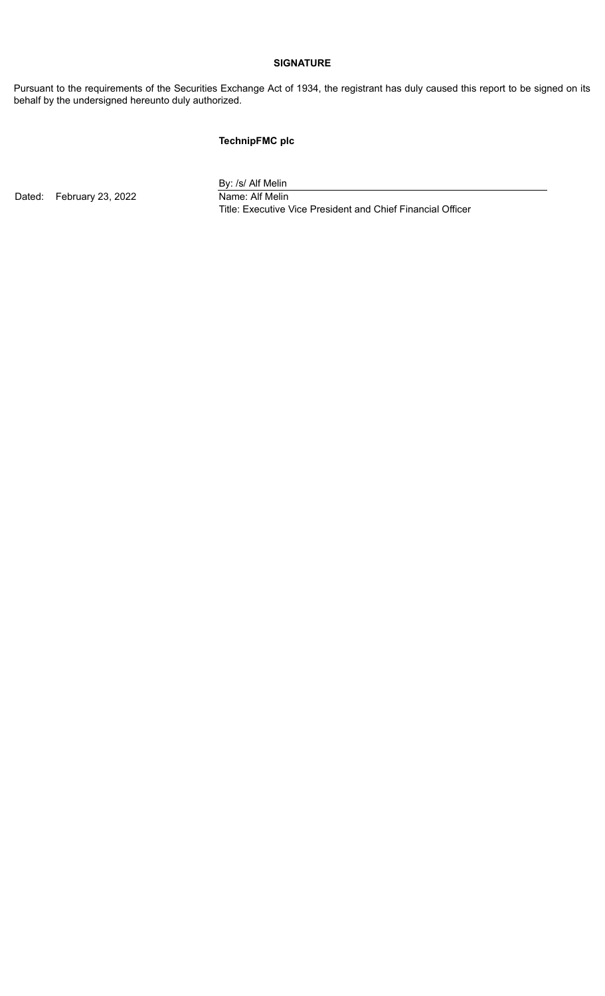#### **SIGNATURE**

Pursuant to the requirements of the Securities Exchange Act of 1934, the registrant has duly caused this report to be signed on its behalf by the undersigned hereunto duly authorized.

## **TechnipFMC plc**

Dated: February 23, 2022 Name: Alf Melin

By: /s/ Alf Melin

Title: Executive Vice President and Chief Financial Officer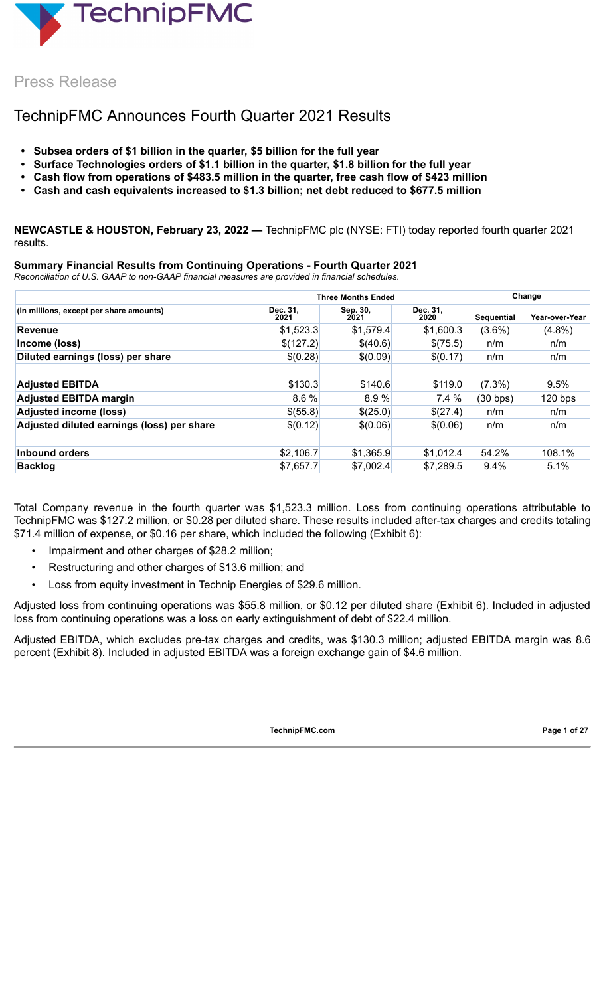

Press Release

## TechnipFMC Announces Fourth Quarter 2021 Results

- **• Subsea orders of \$1 billion in the quarter, \$5 billion for the full year**
- **• Surface Technologies orders of \$1.1 billion in the quarter, \$1.8 billion for the full year**
- **• Cash flow from operations of \$483.5 million in the quarter, free cash flow of \$423 million**
- **• Cash and cash equivalents increased to \$1.3 billion; net debt reduced to \$677.5 million**

**NEWCASTLE & HOUSTON, February 23, 2022 —** TechnipFMC plc (NYSE: FTI) today reported fourth quarter 2021 results.

## **Summary Financial Results from Continuing Operations - Fourth Quarter 2021**

*Reconciliation of U.S. GAAP to non-GAAP financial measures are provided in financial schedules.*

|                                            |                  | <b>Three Months Ended</b> | Change           |            |                |
|--------------------------------------------|------------------|---------------------------|------------------|------------|----------------|
| (In millions, except per share amounts)    | Dec. 31,<br>2021 | Sep. 30,<br>2021          | Dec. 31,<br>2020 | Sequential | Year-over-Year |
| Revenue                                    | \$1,523.3        | \$1,579.4                 | \$1,600.3        | $(3.6\%)$  | $(4.8\%)$      |
| Income (loss)                              | \$(127.2)        | \$(40.6)                  | \$(75.5)         | n/m        | n/m            |
| Diluted earnings (loss) per share          | \$(0.28)         | \$(0.09)                  | \$(0.17)         | n/m        | n/m            |
|                                            |                  |                           |                  |            |                |
| <b>Adjusted EBITDA</b>                     | \$130.3          | \$140.6                   | \$119.0          | $(7.3\%)$  | 9.5%           |
| <b>Adjusted EBITDA margin</b>              | 8.6%             | 8.9%                      | 7.4 %            | (30 bps)   | 120 bps        |
| <b>Adjusted income (loss)</b>              | \$(55.8)         | \$(25.0)                  | \$(27.4)         | n/m        | n/m            |
| Adjusted diluted earnings (loss) per share | \$(0.12)         | \$(0.06)                  | \$(0.06)         | n/m        | n/m            |
|                                            |                  |                           |                  |            |                |
| Inbound orders                             | \$2,106.7        | \$1,365.9                 | \$1,012.4        | 54.2%      | 108.1%         |
| <b>Backlog</b>                             | \$7,657.7        | \$7,002.4                 | \$7,289.5        | 9.4%       | 5.1%           |

Total Company revenue in the fourth quarter was \$1,523.3 million. Loss from continuing operations attributable to TechnipFMC was \$127.2 million, or \$0.28 per diluted share. These results included after-tax charges and credits totaling \$71.4 million of expense, or \$0.16 per share, which included the following (Exhibit 6):

- Impairment and other charges of \$28.2 million;
- Restructuring and other charges of \$13.6 million; and
- Loss from equity investment in Technip Energies of \$29.6 million.

Adjusted loss from continuing operations was \$55.8 million, or \$0.12 per diluted share (Exhibit 6). Included in adjusted loss from continuing operations was a loss on early extinguishment of debt of \$22.4 million.

Adjusted EBITDA, which excludes pre-tax charges and credits, was \$130.3 million; adjusted EBITDA margin was 8.6 percent (Exhibit 8). Included in adjusted EBITDA was a foreign exchange gain of \$4.6 million.

**TechnipFMC.com Page 1** of [27](#page-28-0)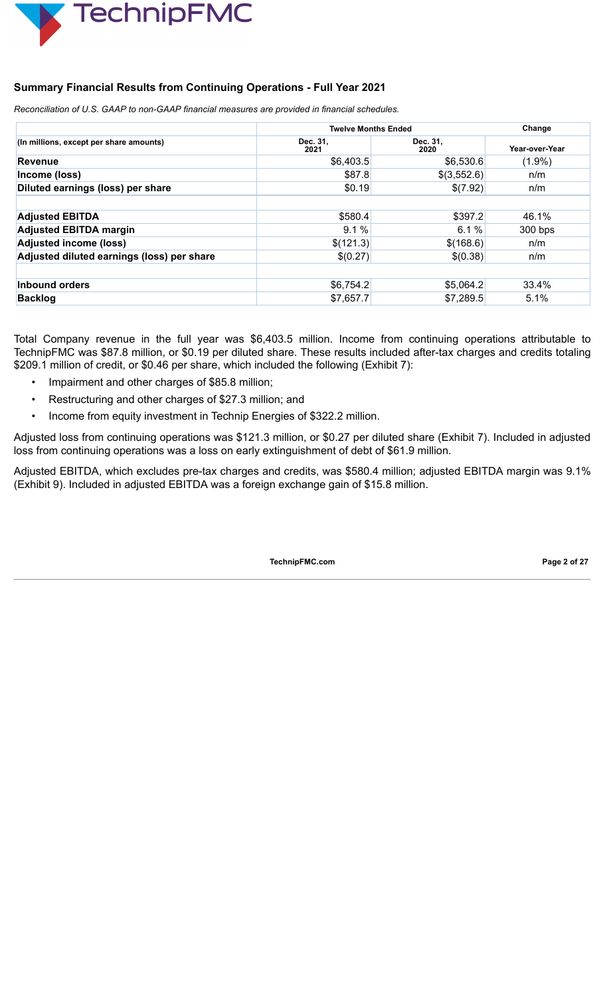

## **Summary Financial Results from Continuing Operations - Full Year 2021**

*Reconciliation of U.S. GAAP to non-GAAP financial measures are provided in financial schedules.*

|                                            | <b>Twelve Months Ended</b> | Change           |                |
|--------------------------------------------|----------------------------|------------------|----------------|
| (In millions, except per share amounts)    | Dec. 31,<br>2021           | Dec. 31,<br>2020 | Year-over-Year |
| <b>Revenue</b>                             | \$6,403.5                  | \$6,530.6        | $(1.9\%)$      |
| Income (loss)                              | \$87.8                     | \$(3,552.6)      | n/m            |
| Diluted earnings (loss) per share          | \$0.19                     | \$(7.92)         | n/m            |
|                                            |                            |                  |                |
| <b>Adjusted EBITDA</b>                     | \$580.4                    | \$397.2          | 46.1%          |
| <b>Adjusted EBITDA margin</b>              | 9.1%                       | 6.1%             | 300 bps        |
| <b>Adjusted income (loss)</b>              | \$(121.3)                  | \$(168.6)        | n/m            |
| Adjusted diluted earnings (loss) per share | \$(0.27)                   | \$(0.38)         | n/m            |
|                                            |                            |                  |                |
| Inbound orders                             | \$6,754.2                  | \$5,064.2        | 33.4%          |
| <b>Backlog</b>                             | \$7,657.7                  | \$7,289.5        | 5.1%           |

Total Company revenue in the full year was \$6,403.5 million. Income from continuing operations attributable to TechnipFMC was \$87.8 million, or \$0.19 per diluted share. These results included after-tax charges and credits totaling \$209.1 million of credit, or \$0.46 per share, which included the following (Exhibit 7):

- Impairment and other charges of \$85.8 million;
- Restructuring and other charges of \$27.3 million; and
- Income from equity investment in Technip Energies of \$322.2 million.

Adjusted loss from continuing operations was \$121.3 million, or \$0.27 per diluted share (Exhibit 7). Included in adjusted loss from continuing operations was a loss on early extinguishment of debt of \$61.9 million.

Adjusted EBITDA, which excludes pre-tax charges and credits, was \$580.4 million; adjusted EBITDA margin was 9.1% (Exhibit 9). Included in adjusted EBITDA was a foreign exchange gain of \$15.8 million.

**TechnipFMC.com Page 2 of [27](#page-28-0)**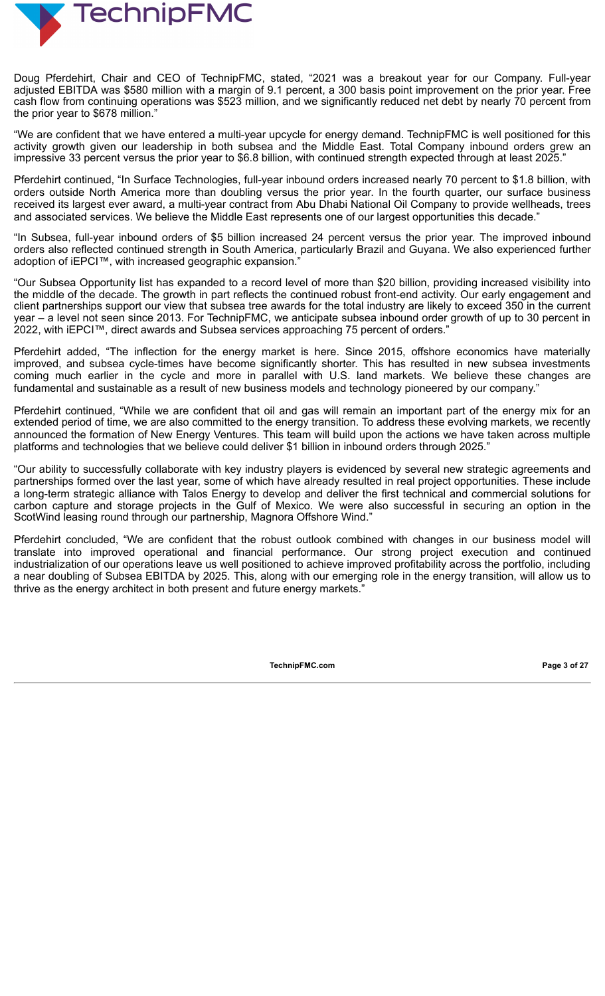

Doug Pferdehirt, Chair and CEO of TechnipFMC, stated, "2021 was a breakout year for our Company. Full-year adjusted EBITDA was \$580 million with a margin of 9.1 percent, a 300 basis point improvement on the prior year. Free cash flow from continuing operations was \$523 million, and we significantly reduced net debt by nearly 70 percent from the prior year to \$678 million."

"We are confident that we have entered a multi-year upcycle for energy demand. TechnipFMC is well positioned for this activity growth given our leadership in both subsea and the Middle East. Total Company inbound orders grew an impressive 33 percent versus the prior year to \$6.8 billion, with continued strength expected through at least 2025."

Pferdehirt continued, "In Surface Technologies, full-year inbound orders increased nearly 70 percent to \$1.8 billion, with orders outside North America more than doubling versus the prior year. In the fourth quarter, our surface business received its largest ever award, a multi-year contract from Abu Dhabi National Oil Company to provide wellheads, trees and associated services. We believe the Middle East represents one of our largest opportunities this decade."

"In Subsea, full-year inbound orders of \$5 billion increased 24 percent versus the prior year. The improved inbound orders also reflected continued strength in South America, particularly Brazil and Guyana. We also experienced further adoption of iEPCI™, with increased geographic expansion.'

"Our Subsea Opportunity list has expanded to a record level of more than \$20 billion, providing increased visibility into the middle of the decade. The growth in part reflects the continued robust front-end activity. Our early engagement and client partnerships support our view that subsea tree awards for the total industry are likely to exceed 350 in the current year – a level not seen since 2013. For TechnipFMC, we anticipate subsea inbound order growth of up to 30 percent in 2022, with iEPCI™, direct awards and Subsea services approaching 75 percent of orders."

Pferdehirt added, "The inflection for the energy market is here. Since 2015, offshore economics have materially improved, and subsea cycle-times have become significantly shorter. This has resulted in new subsea investments coming much earlier in the cycle and more in parallel with U.S. land markets. We believe these changes are fundamental and sustainable as a result of new business models and technology pioneered by our company."

Pferdehirt continued, "While we are confident that oil and gas will remain an important part of the energy mix for an extended period of time, we are also committed to the energy transition. To address these evolving markets, we recently announced the formation of New Energy Ventures. This team will build upon the actions we have taken across multiple platforms and technologies that we believe could deliver \$1 billion in inbound orders through 2025."

"Our ability to successfully collaborate with key industry players is evidenced by several new strategic agreements and partnerships formed over the last year, some of which have already resulted in real project opportunities. These include a long-term strategic alliance with Talos Energy to develop and deliver the first technical and commercial solutions for carbon capture and storage projects in the Gulf of Mexico. We were also successful in securing an option in the ScotWind leasing round through our partnership, Magnora Offshore Wind."

Pferdehirt concluded, "We are confident that the robust outlook combined with changes in our business model will translate into improved operational and financial performance. Our strong project execution and continued industrialization of our operations leave us well positioned to achieve improved profitability across the portfolio, including a near doubling of Subsea EBITDA by 2025. This, along with our emerging role in the energy transition, will allow us to thrive as the energy architect in both present and future energy markets."

**TechnipFMC.com Page 3 of [27](#page-28-0)**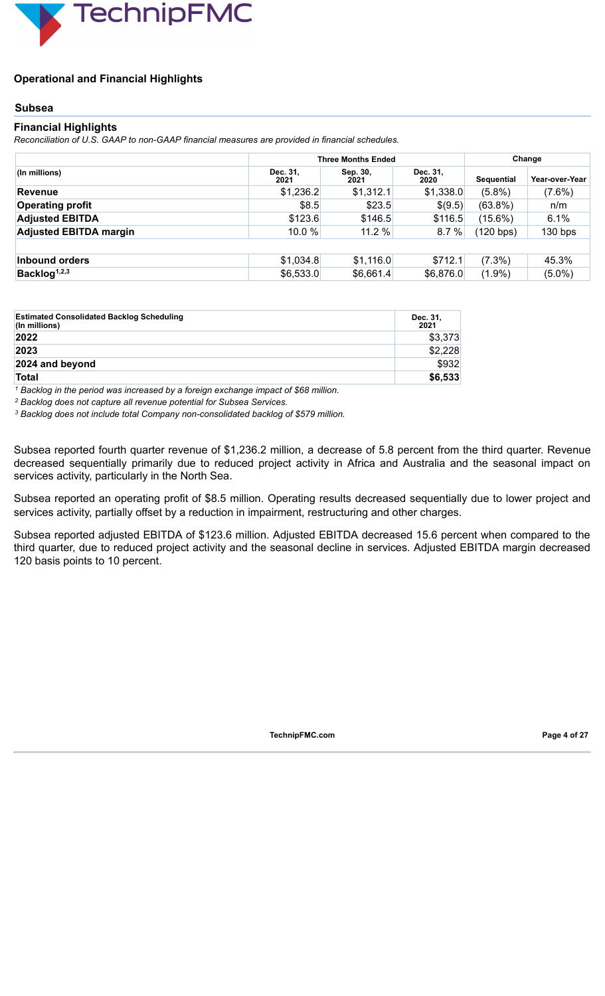

## **Operational and Financial Highlights**

#### **Subsea**

#### **Financial Highlights**

*Reconciliation of U.S. GAAP to non-GAAP financial measures are provided in financial schedules.*

|                               |                  | <b>Three Months Ended</b> | Change           |                   |                |
|-------------------------------|------------------|---------------------------|------------------|-------------------|----------------|
| (In millions)                 | Dec. 31,<br>2021 | Sep. 30,<br>2021          | Dec. 31,<br>2020 | <b>Sequential</b> | Year-over-Year |
| <b>Revenue</b>                | \$1,236.2        | \$1,312.1                 | \$1,338.0        | $(5.8\%)$         | $(7.6\%)$      |
| <b>Operating profit</b>       | \$8.5            | \$23.5                    | \$(9.5)          | $(63.8\%)$        | n/m            |
| <b>Adjusted EBITDA</b>        | \$123.6          | \$146.5                   | \$116.5          | $(15.6\%)$        | 6.1%           |
| <b>Adjusted EBITDA margin</b> | 10.0 %           | 11.2%                     | 8.7%             | (120 bps)         | $130$ bps      |
|                               |                  |                           |                  |                   |                |
| Inbound orders                | \$1,034.8        | \$1,116.0                 | \$712.1          | $(7.3\%)$         | 45.3%          |
| Backlog <sup>1,2,3</sup>      | \$6,533.0        | \$6,661.4                 | \$6,876.0        | $(1.9\%)$         | $(5.0\%)$      |

| <b>Estimated Consolidated Backlog Scheduling</b><br>(In millions) | Dec. 31,<br>2021 |
|-------------------------------------------------------------------|------------------|
| 2022                                                              | \$3,373          |
| 2023                                                              | \$2,228          |
| 2024 and beyond                                                   | \$932            |
| Total                                                             | \$6,533          |

<sup>1</sup> Backlog in the period was increased by a foreign exchange impact of \$68 million.

*Backlog does not capture all revenue potential for Subsea Services. 2*

*Backlog does not include total Company non-consolidated backlog of \$579 million. 3*

Subsea reported fourth quarter revenue of \$1,236.2 million, a decrease of 5.8 percent from the third quarter. Revenue decreased sequentially primarily due to reduced project activity in Africa and Australia and the seasonal impact on services activity, particularly in the North Sea.

Subsea reported an operating profit of \$8.5 million. Operating results decreased sequentially due to lower project and services activity, partially offset by a reduction in impairment, restructuring and other charges.

Subsea reported adjusted EBITDA of \$123.6 million. Adjusted EBITDA decreased 15.6 percent when compared to the third quarter, due to reduced project activity and the seasonal decline in services. Adjusted EBITDA margin decreased 120 basis points to 10 percent.

**TechnipFMC.com Page 4 of [27](#page-28-0)**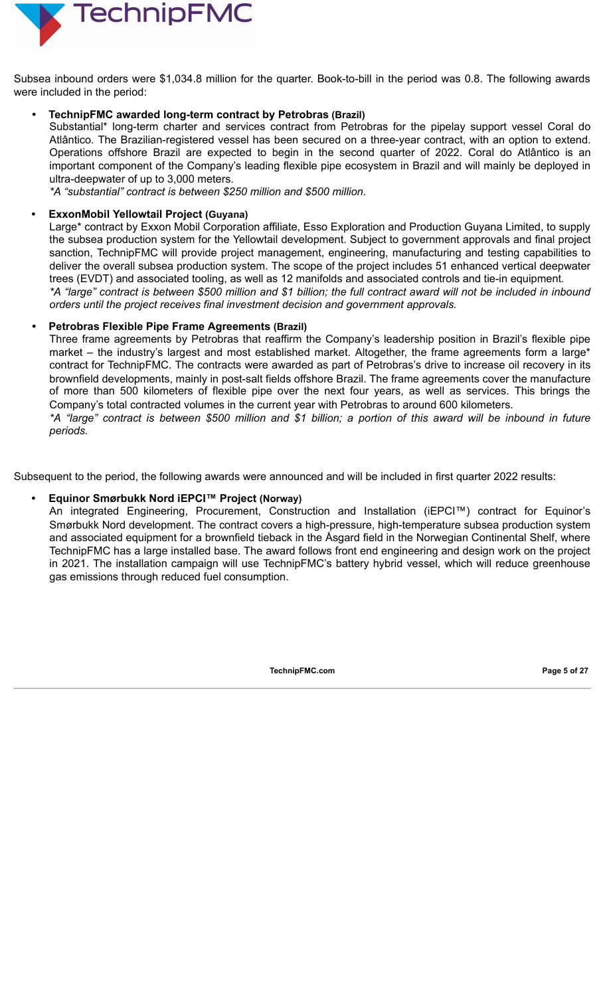

Subsea inbound orders were \$1,034.8 million for the quarter. Book-to-bill in the period was 0.8. The following awards were included in the period:

## *•* **TechnipFMC awarded long-term contract by Petrobras (Brazil)**

Substantial\* long-term charter and services contract from Petrobras for the pipelay support vessel Coral do Atlântico. The Brazilian-registered vessel has been secured on a three-year contract, with an option to extend. Operations offshore Brazil are expected to begin in the second quarter of 2022. Coral do Atlântico is an important component of the Company's leading flexible pipe ecosystem in Brazil and will mainly be deployed in ultra-deepwater of up to 3,000 meters.

*\*A "substantial" contract is between \$250 million and \$500 million.*

## **• ExxonMobil Yellowtail Project (Guyana)**

Large\* contract by Exxon Mobil Corporation affiliate, Esso Exploration and Production Guyana Limited, to supply the subsea production system for the Yellowtail development. Subject to government approvals and final project sanction, TechnipFMC will provide project management, engineering, manufacturing and testing capabilities to deliver the overall subsea production system. The scope of the project includes 51 enhanced vertical deepwater trees (EVDT) and associated tooling, as well as 12 manifolds and associated controls and tie-in equipment. \*A "large" contract is between \$500 million and \$1 billion; the full contract award will not be included in inbound *orders until the project receives final investment decision and government approvals.*

## *•* **Petrobras Flexible Pipe Frame Agreements (Brazil)**

Three frame agreements by Petrobras that reaffirm the Company's leadership position in Brazil's flexible pipe market – the industry's largest and most established market. Altogether, the frame agreements form a large\* contract for TechnipFMC. The contracts were awarded as part of Petrobras's drive to increase oil recovery in its brownfield developments, mainly in post-salt fields offshore Brazil. The frame agreements cover the manufacture of more than 500 kilometers of flexible pipe over the next four years, as well as services. This brings the Company's total contracted volumes in the current year with Petrobras to around 600 kilometers.

\*A "large" contract is between \$500 million and \$1 billion; a portion of this award will be inbound in future *periods.*

Subsequent to the period, the following awards were announced and will be included in first quarter 2022 results:

#### **• Equinor Smørbukk Nord iEPCI™ Project (Norway)**

An integrated Engineering, Procurement, Construction and Installation (iEPCI™) contract for Equinor's Smørbukk Nord development. The contract covers a high-pressure, high-temperature subsea production system and associated equipment for a brownfield tieback in the Åsgard field in the Norwegian Continental Shelf, where TechnipFMC has a large installed base. The award follows front end engineering and design work on the project in 2021. The installation campaign will use TechnipFMC's battery hybrid vessel, which will reduce greenhouse gas emissions through reduced fuel consumption.

**TechnipFMC.com Page 5 of [27](#page-28-0)**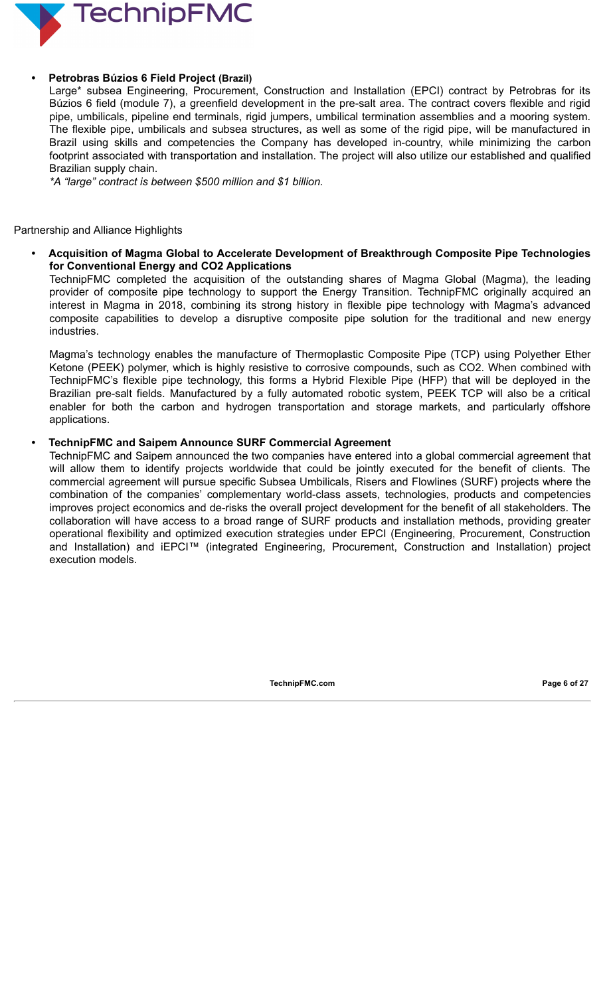

#### **• Petrobras Búzios 6 Field Project (Brazil)**

Large\* subsea Engineering, Procurement, Construction and Installation (EPCI) contract by Petrobras for its Búzios 6 field (module 7), a greenfield development in the pre-salt area. The contract covers flexible and rigid pipe, umbilicals, pipeline end terminals, rigid jumpers, umbilical termination assemblies and a mooring system. The flexible pipe, umbilicals and subsea structures, as well as some of the rigid pipe, will be manufactured in Brazil using skills and competencies the Company has developed in-country, while minimizing the carbon footprint associated with transportation and installation. The project will also utilize our established and qualified Brazilian supply chain.

*\*A "large" contract is between \$500 million and \$1 billion.*

Partnership and Alliance Highlights

**• Acquisition of Magma Global to Accelerate Development of Breakthrough Composite Pipe Technologies for Conventional Energy and CO2 Applications**

TechnipFMC completed the acquisition of the outstanding shares of Magma Global (Magma), the leading provider of composite pipe technology to support the Energy Transition. TechnipFMC originally acquired an interest in Magma in 2018, combining its strong history in flexible pipe technology with Magma's advanced composite capabilities to develop a disruptive composite pipe solution for the traditional and new energy industries.

Magma's technology enables the manufacture of Thermoplastic Composite Pipe (TCP) using Polyether Ether Ketone (PEEK) polymer, which is highly resistive to corrosive compounds, such as CO2. When combined with TechnipFMC's flexible pipe technology, this forms a Hybrid Flexible Pipe (HFP) that will be deployed in the Brazilian pre-salt fields. Manufactured by a fully automated robotic system, PEEK TCP will also be a critical enabler for both the carbon and hydrogen transportation and storage markets, and particularly offshore applications.

## **• TechnipFMC and Saipem Announce SURF Commercial Agreement**

TechnipFMC and Saipem announced the two companies have entered into a global commercial agreement that will allow them to identify projects worldwide that could be jointly executed for the benefit of clients. The commercial agreement will pursue specific Subsea Umbilicals, Risers and Flowlines (SURF) projects where the combination of the companies' complementary world-class assets, technologies, products and competencies improves project economics and de-risks the overall project development for the benefit of all stakeholders. The collaboration will have access to a broad range of SURF products and installation methods, providing greater operational flexibility and optimized execution strategies under EPCI (Engineering, Procurement, Construction and Installation) and iEPCI™ (integrated Engineering, Procurement, Construction and Installation) project execution models.

**TechnipFMC.com Page 6 of [27](#page-28-0)**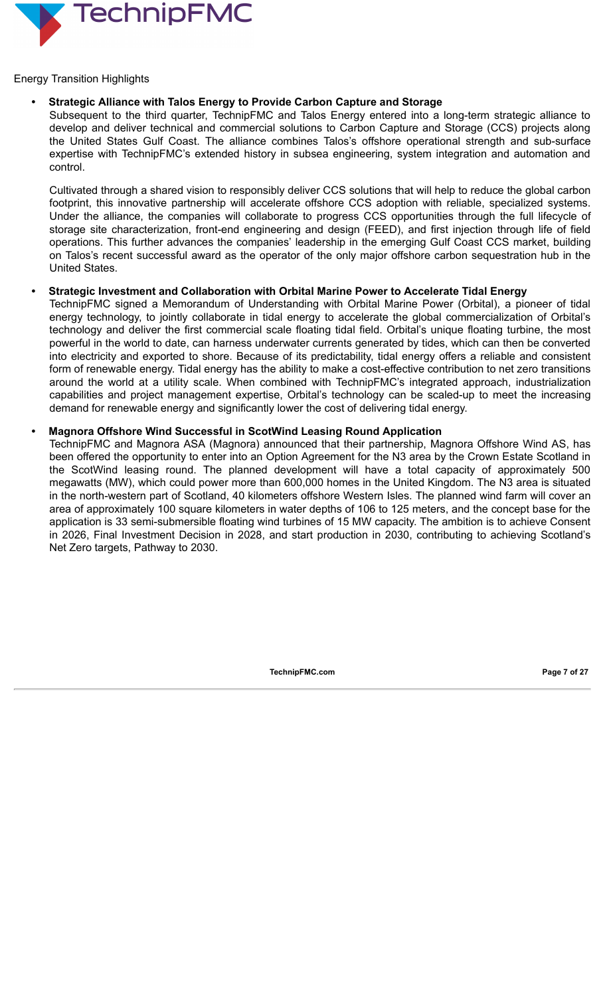

#### Energy Transition Highlights

## **• Strategic Alliance with Talos Energy to Provide Carbon Capture and Storage**

Subsequent to the third quarter, TechnipFMC and Talos Energy entered into a long-term strategic alliance to develop and deliver technical and commercial solutions to Carbon Capture and Storage (CCS) projects along the United States Gulf Coast. The alliance combines Talos's offshore operational strength and sub-surface expertise with TechnipFMC's extended history in subsea engineering, system integration and automation and control.

Cultivated through a shared vision to responsibly deliver CCS solutions that will help to reduce the global carbon footprint, this innovative partnership will accelerate offshore CCS adoption with reliable, specialized systems. Under the alliance, the companies will collaborate to progress CCS opportunities through the full lifecycle of storage site characterization, front-end engineering and design (FEED), and first injection through life of field operations. This further advances the companies' leadership in the emerging Gulf Coast CCS market, building on Talos's recent successful award as the operator of the only major offshore carbon sequestration hub in the United States.

#### **• Strategic Investment and Collaboration with Orbital Marine Power to Accelerate Tidal Energy**

TechnipFMC signed a Memorandum of Understanding with Orbital Marine Power (Orbital), a pioneer of tidal energy technology, to jointly collaborate in tidal energy to accelerate the global commercialization of Orbital's technology and deliver the first commercial scale floating tidal field. Orbital's unique floating turbine, the most powerful in the world to date, can harness underwater currents generated by tides, which can then be converted into electricity and exported to shore. Because of its predictability, tidal energy offers a reliable and consistent form of renewable energy. Tidal energy has the ability to make a cost-effective contribution to net zero transitions around the world at a utility scale. When combined with TechnipFMC's integrated approach, industrialization capabilities and project management expertise, Orbital's technology can be scaled-up to meet the increasing demand for renewable energy and significantly lower the cost of delivering tidal energy.

## **• Magnora Offshore Wind Successful in ScotWind Leasing Round Application**

TechnipFMC and Magnora ASA (Magnora) announced that their partnership, Magnora Offshore Wind AS, has been offered the opportunity to enter into an Option Agreement for the N3 area by the Crown Estate Scotland in the ScotWind leasing round. The planned development will have a total capacity of approximately 500 megawatts (MW), which could power more than 600,000 homes in the United Kingdom. The N3 area is situated in the north-western part of Scotland, 40 kilometers offshore Western Isles. The planned wind farm will cover an area of approximately 100 square kilometers in water depths of 106 to 125 meters, and the concept base for the application is 33 semi-submersible floating wind turbines of 15 MW capacity. The ambition is to achieve Consent in 2026, Final Investment Decision in 2028, and start production in 2030, contributing to achieving Scotland's Net Zero targets, Pathway to 2030.

**TechnipFMC.com Page 7 of [27](#page-28-0)**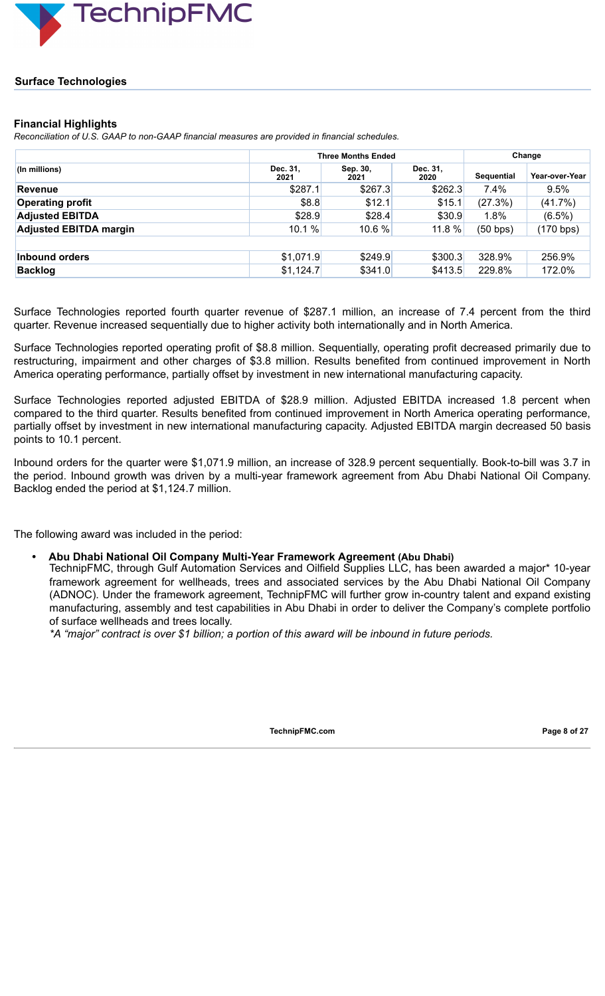

#### **Surface Technologies**

#### **Financial Highlights**

*Reconciliation of U.S. GAAP to non-GAAP financial measures are provided in financial schedules.*

|                               |                  | <b>Three Months Ended</b> | Change           |                   |                       |
|-------------------------------|------------------|---------------------------|------------------|-------------------|-----------------------|
| (In millions)                 | Dec. 31,<br>2021 | Sep. 30,<br>2021          | Dec. 31,<br>2020 | <b>Sequential</b> | <b>Year-over-Year</b> |
| Revenue                       | \$287.1          | \$267.3                   | \$262.3          | 7.4%              | 9.5%                  |
| <b>Operating profit</b>       | \$8.8            | \$12.1                    | \$15.1           | (27.3%)           | (41.7%)               |
| <b>Adjusted EBITDA</b>        | \$28.9           | \$28.4                    | \$30.9           | 1.8%              | $(6.5\%)$             |
| <b>Adjusted EBITDA margin</b> | 10.1%            | 10.6%                     | 11.8%            | (50 bps)          | (170 bps)             |
|                               |                  |                           |                  |                   |                       |
| Inbound orders                | \$1,071.9        | \$249.9                   | \$300.3          | 328.9%            | 256.9%                |
| <b>Backlog</b>                | \$1,124.7        | \$341.0                   | \$413.5          | 229.8%            | 172.0%                |

Surface Technologies reported fourth quarter revenue of \$287.1 million, an increase of 7.4 percent from the third quarter. Revenue increased sequentially due to higher activity both internationally and in North America.

Surface Technologies reported operating profit of \$8.8 million. Sequentially, operating profit decreased primarily due to restructuring, impairment and other charges of \$3.8 million. Results benefited from continued improvement in North America operating performance, partially offset by investment in new international manufacturing capacity.

Surface Technologies reported adjusted EBITDA of \$28.9 million. Adjusted EBITDA increased 1.8 percent when compared to the third quarter. Results benefited from continued improvement in North America operating performance, partially offset by investment in new international manufacturing capacity. Adjusted EBITDA margin decreased 50 basis points to 10.1 percent.

Inbound orders for the quarter were \$1,071.9 million, an increase of 328.9 percent sequentially. Book-to-bill was 3.7 in the period. Inbound growth was driven by a multi-year framework agreement from Abu Dhabi National Oil Company. Backlog ended the period at \$1,124.7 million.

The following award was included in the period:

## *•* **Abu Dhabi National Oil Company Multi-Year Framework Agreement (Abu Dhabi)**

TechnipFMC, through Gulf Automation Services and Oilfield Supplies LLC, has been awarded a major\* 10-year framework agreement for wellheads, trees and associated services by the Abu Dhabi National Oil Company (ADNOC). Under the framework agreement, TechnipFMC will further grow in-country talent and expand existing manufacturing, assembly and test capabilities in Abu Dhabi in order to deliver the Company's complete portfolio of surface wellheads and trees locally.

*\*A "major" contract is over \$1 billion; a portion of this award will be inbound in future periods.*

**TechnipFMC.com Page 8 of [27](#page-28-0)**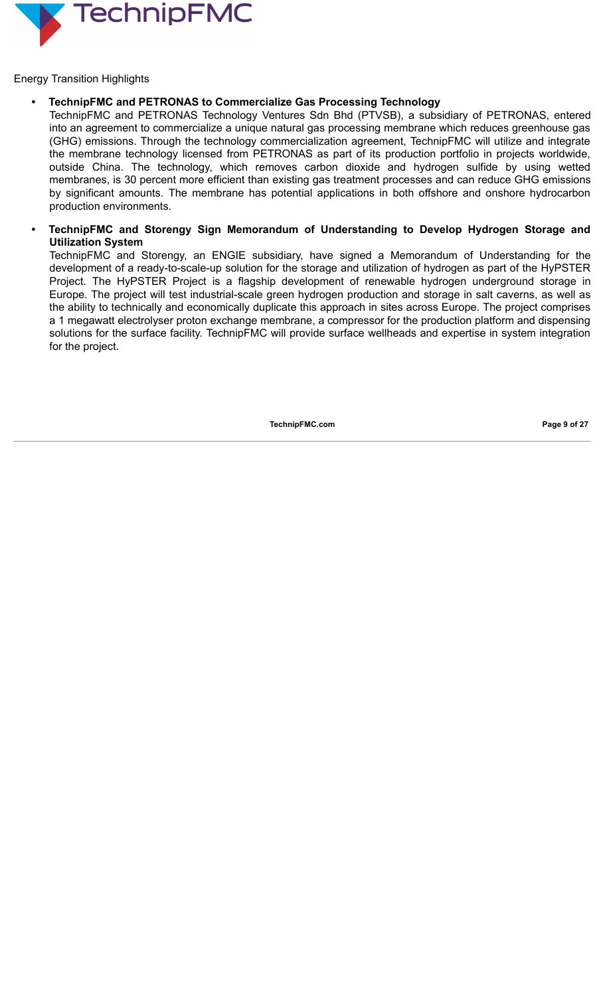

Energy Transition Highlights

## **• TechnipFMC and PETRONAS to Commercialize Gas Processing Technology**

TechnipFMC and PETRONAS Technology Ventures Sdn Bhd (PTVSB), a subsidiary of PETRONAS, entered into an agreement to commercialize a unique natural gas processing membrane which reduces greenhouse gas (GHG) emissions. Through the technology commercialization agreement, TechnipFMC will utilize and integrate the membrane technology licensed from PETRONAS as part of its production portfolio in projects worldwide, outside China. The technology, which removes carbon dioxide and hydrogen sulfide by using wetted membranes, is 30 percent more efficient than existing gas treatment processes and can reduce GHG emissions by significant amounts. The membrane has potential applications in both offshore and onshore hydrocarbon production environments.

#### **• TechnipFMC and Storengy Sign Memorandum of Understanding to Develop Hydrogen Storage and Utilization System**

TechnipFMC and Storengy, an ENGIE subsidiary, have signed a Memorandum of Understanding for the development of a ready-to-scale-up solution for the storage and utilization of hydrogen as part of the HyPSTER Project. The HyPSTER Project is a flagship development of renewable hydrogen underground storage in Europe. The project will test industrial-scale green hydrogen production and storage in salt caverns, as well as the ability to technically and economically duplicate this approach in sites across Europe. The project comprises a 1 megawatt electrolyser proton exchange membrane, a compressor for the production platform and dispensing solutions for the surface facility. TechnipFMC will provide surface wellheads and expertise in system integration for the project.

**TechnipFMC.com Page 9 of [27](#page-28-0)**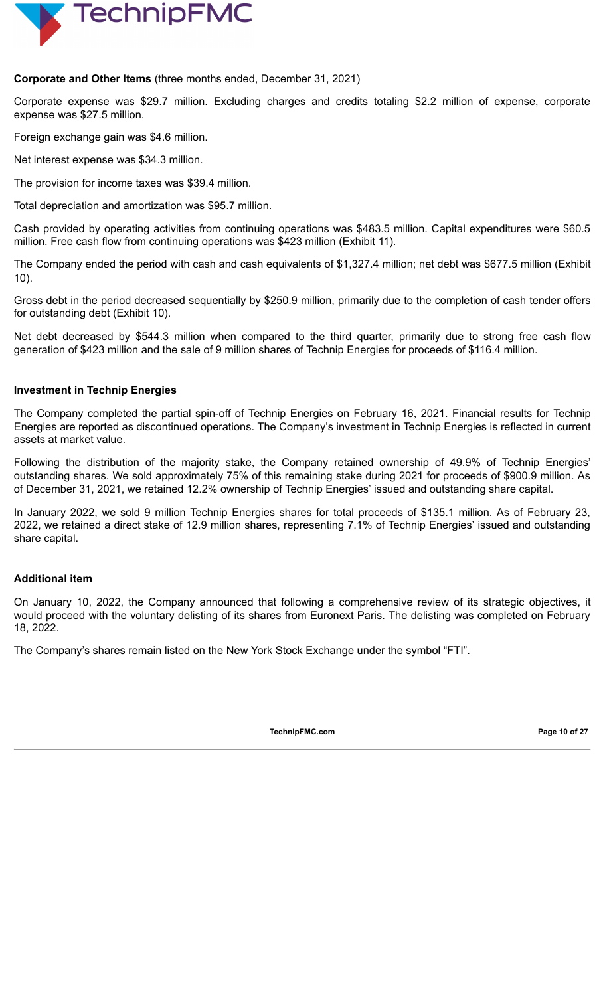

#### **Corporate and Other Items** (three months ended, December 31, 2021)

Corporate expense was \$29.7 million. Excluding charges and credits totaling \$2.2 million of expense, corporate expense was \$27.5 million.

Foreign exchange gain was \$4.6 million.

Net interest expense was \$34.3 million.

The provision for income taxes was \$39.4 million.

Total depreciation and amortization was \$95.7 million.

Cash provided by operating activities from continuing operations was \$483.5 million. Capital expenditures were \$60.5 million. Free cash flow from continuing operations was \$423 million (Exhibit 11).

The Company ended the period with cash and cash equivalents of \$1,327.4 million; net debt was \$677.5 million (Exhibit 10).

Gross debt in the period decreased sequentially by \$250.9 million, primarily due to the completion of cash tender offers for outstanding debt (Exhibit 10).

Net debt decreased by \$544.3 million when compared to the third quarter, primarily due to strong free cash flow generation of \$423 million and the sale of 9 million shares of Technip Energies for proceeds of \$116.4 million.

#### **Investment in Technip Energies**

The Company completed the partial spin-off of Technip Energies on February 16, 2021. Financial results for Technip Energies are reported as discontinued operations. The Company's investment in Technip Energies is reflected in current assets at market value.

Following the distribution of the majority stake, the Company retained ownership of 49.9% of Technip Energies' outstanding shares. We sold approximately 75% of this remaining stake during 2021 for proceeds of \$900.9 million. As of December 31, 2021, we retained 12.2% ownership of Technip Energies' issued and outstanding share capital.

In January 2022, we sold 9 million Technip Energies shares for total proceeds of \$135.1 million. As of February 23, 2022, we retained a direct stake of 12.9 million shares, representing 7.1% of Technip Energies' issued and outstanding share capital.

## **Additional item**

On January 10, 2022, the Company announced that following a comprehensive review of its strategic objectives, it would proceed with the voluntary delisting of its shares from Euronext Paris. The delisting was completed on February 18, 2022.

The Company's shares remain listed on the New York Stock Exchange under the symbol "FTI".

**TechnipFMC.com Page 10 of [27](#page-28-0)**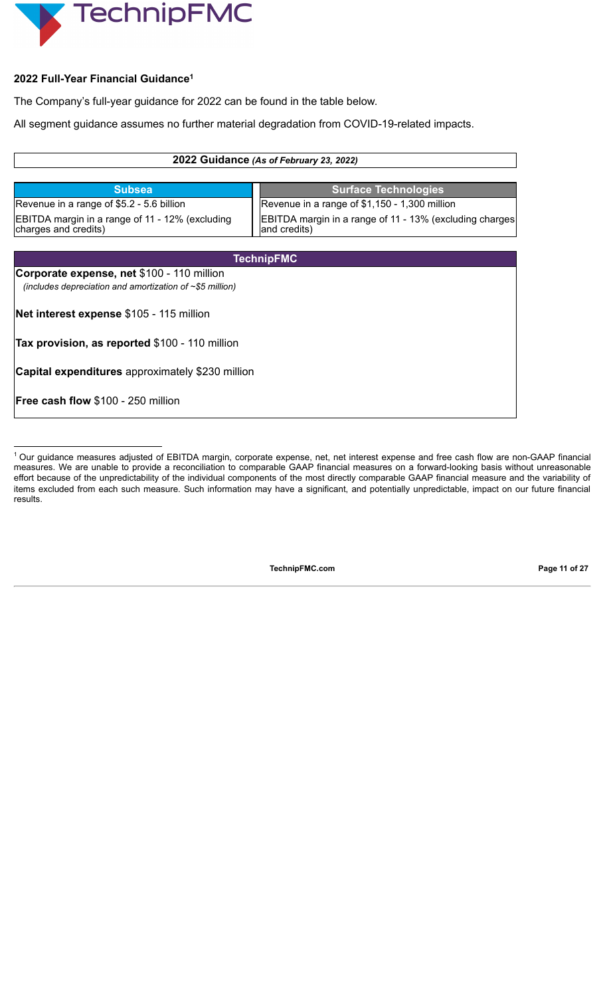

## **2022 Full-Year Financial Guidance 1**

The Company's full-year guidance for 2022 can be found in the table below.

All segment guidance assumes no further material degradation from COVID-19-related impacts.

| 2022 Guidance (As of February 23, 2022)                                                                      |                                                                         |  |  |  |  |
|--------------------------------------------------------------------------------------------------------------|-------------------------------------------------------------------------|--|--|--|--|
|                                                                                                              |                                                                         |  |  |  |  |
| <b>Subsea</b>                                                                                                | <b>Surface Technologies</b>                                             |  |  |  |  |
| Revenue in a range of \$5.2 - 5.6 billion                                                                    | Revenue in a range of \$1,150 - 1,300 million                           |  |  |  |  |
| EBITDA margin in a range of 11 - 12% (excluding<br>charges and credits)                                      | EBITDA margin in a range of 11 - 13% (excluding charges<br>and credits) |  |  |  |  |
|                                                                                                              |                                                                         |  |  |  |  |
|                                                                                                              | <b>TechnipFMC</b>                                                       |  |  |  |  |
| Corporate expense, net \$100 - 110 million<br>(includes depreciation and amortization of $\sim$ \$5 million) |                                                                         |  |  |  |  |
| Net interest expense \$105 - 115 million                                                                     |                                                                         |  |  |  |  |
| <b>Tax provision, as reported \$100 - 110 million</b>                                                        |                                                                         |  |  |  |  |
| <b>Capital expenditures</b> approximately \$230 million                                                      |                                                                         |  |  |  |  |
| <b>Free cash flow \$100 - 250 million</b>                                                                    |                                                                         |  |  |  |  |

 $^1$  Our guidance measures adjusted of EBITDA margin, corporate expense, net, net interest expense and free cash flow are non-GAAP financial measures. We are unable to provide a reconciliation to comparable GAAP financial measures on a forward-looking basis without unreasonable effort because of the unpredictability of the individual components of the most directly comparable GAAP financial measure and the variability of items excluded from each such measure. Such information may have a significant, and potentially unpredictable, impact on our future financial results.

**TechnipFMC.com Page 11 of [27](#page-28-0)**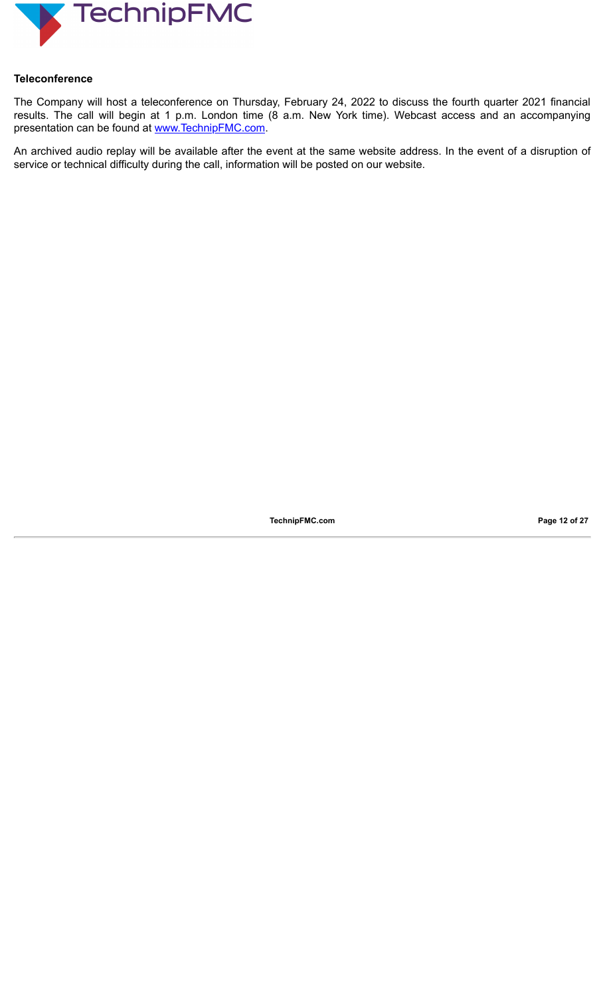

#### **Teleconference**

The Company will host a teleconference on Thursday, February 24, 2022 to discuss the fourth quarter 2021 financial results. The call will begin at 1 p.m. London time (8 a.m. New York time). Webcast access and an accompanying presentation can be found at www.TechnipFMC.com.

An archived audio replay will be available after the event at the same website address. In the event of a disruption of service or technical difficulty during the call, information will be posted on our website.

**TechnipFMC.com Page 12 of [27](#page-28-0)**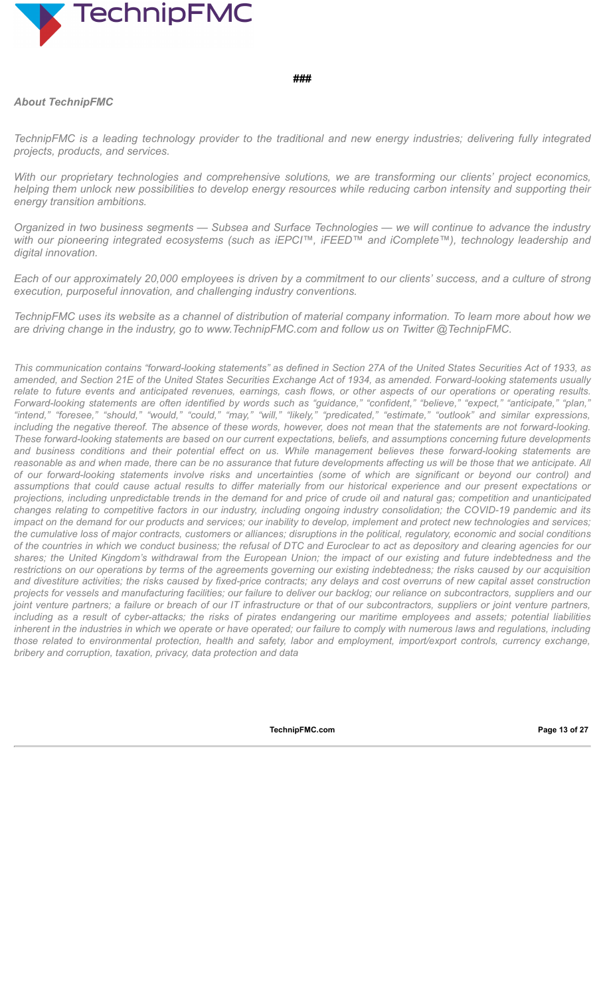

#### **###**

#### *About TechnipFMC*

TechnipFMC is a leading technology provider to the traditional and new energy industries; delivering fully integrated *projects, products, and services.*

*With our proprietary technologies and comprehensive solutions, we are transforming our clients' project economics,* helping them unlock new possibilities to develop energy resources while reducing carbon intensity and supporting their *energy transition ambitions.*

Organized in two business segments — Subsea and Surface Technologies — we will continue to advance the industry *with our pioneering integrated ecosystems (such as iEPCI™, iFEED™ and iComplete™), technology leadership and digital innovation.*

Each of our approximately 20,000 employees is driven by a commitment to our clients' success, and a culture of strong *execution, purposeful innovation, and challenging industry conventions.*

TechnipFMC uses its website as a channel of distribution of material company information. To learn more about how we *are driving change in the industry, go to www.TechnipFMC.com and follow us on Twitter @TechnipFMC.*

This communication contains "forward-looking statements" as defined in Section 27A of the United States Securities Act of 1933, as amended, and Section 21E of the United States Securities Exchange Act of 1934, as amended. Forward-looking statements usually relate to future events and anticipated revenues, earnings, cash flows, or other aspects of our operations or operating results. Forward-looking statements are often identified by words such as "guidance," "confident," "believe," "expect," "anticipate," "plan," "intend," "foresee," "should," "would," "could," "may," "will," "likely," "predicated," "estimate," "outlook" and similar expressions, including the negative thereof. The absence of these words, however, does not mean that the statements are not forward-looking. These forward-looking statements are based on our current expectations, beliefs, and assumptions concerning future developments and business conditions and their potential effect on us. While management believes these forward-looking statements are reasonable as and when made, there can be no assurance that future developments affecting us will be those that we anticipate. All of our forward-looking statements involve risks and uncertainties (some of which are significant or beyond our control) and assumptions that could cause actual results to differ materially from our historical experience and our present expectations or projections, including unpredictable trends in the demand for and price of crude oil and natural gas; competition and unanticipated changes relating to competitive factors in our industry, including ongoing industry consolidation; the COVID-19 pandemic and its impact on the demand for our products and services; our inability to develop, implement and protect new technologies and services; the cumulative loss of major contracts, customers or alliances; disruptions in the political, regulatory, economic and social conditions of the countries in which we conduct business; the refusal of DTC and Euroclear to act as depository and clearing agencies for our shares; the United Kingdom's withdrawal from the European Union; the impact of our existing and future indebtedness and the restrictions on our operations by terms of the agreements governing our existing indebtedness; the risks caused by our acquisition and divestiture activities; the risks caused by fixed-price contracts; any delays and cost overruns of new capital asset construction projects for vessels and manufacturing facilities; our failure to deliver our backlog; our reliance on subcontractors, suppliers and our joint venture partners; a failure or breach of our IT infrastructure or that of our subcontractors, suppliers or joint venture partners, including as a result of cyber-attacks; the risks of pirates endangering our maritime employees and assets; potential liabilities inherent in the industries in which we operate or have operated; our failure to comply with numerous laws and regulations, including those related to environmental protection, health and safety, labor and employment, import/export controls, currency exchange, *bribery and corruption, taxation, privacy, data protection and data*

**TechnipFMC.com Page 13 of [27](#page-28-0)**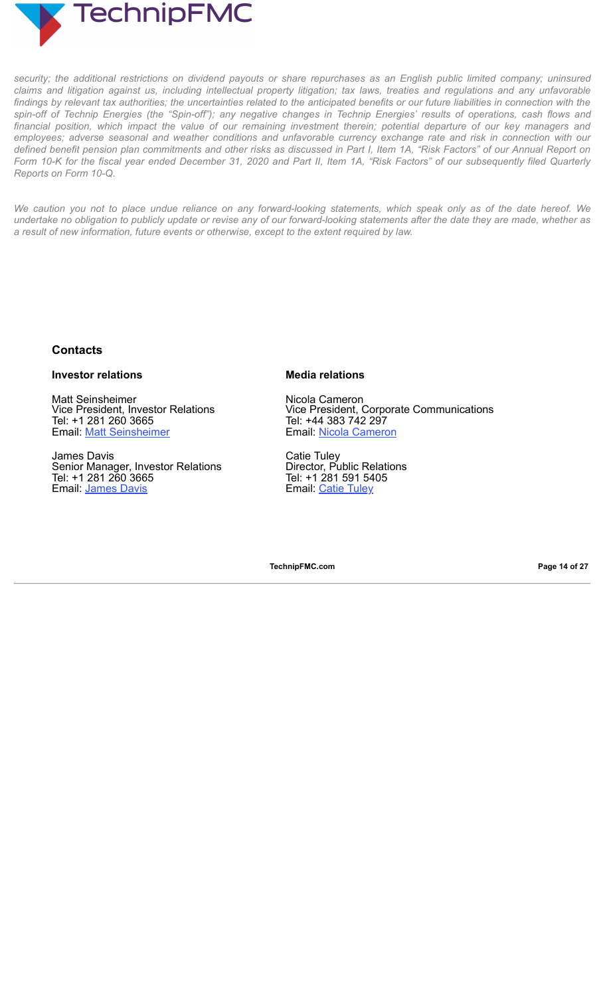

security; the additional restrictions on dividend payouts or share repurchases as an English public limited company; uninsured claims and litigation against us, including intellectual property litigation; tax laws, treaties and regulations and any unfavorable findings by relevant tax authorities; the uncertainties related to the anticipated benefits or our future liabilities in connection with the spin-off of Technip Energies (the "Spin-off"); any negative changes in Technip Energies' results of operations, cash flows and financial position, which impact the value of our remaining investment therein; potential departure of our key managers and employees; adverse seasonal and weather conditions and unfavorable currency exchange rate and risk in connection with our defined benefit pension plan commitments and other risks as discussed in Part I, Item 1A, "Risk Factors" of our Annual Report on Form 10-K for the fiscal year ended December 31, 2020 and Part II, Item 1A, "Risk Factors" of our subsequently filed Quarterly *Reports on Form 10-Q.*

We caution you not to place undue reliance on any forward-looking statements, which speak only as of the date hereof. We undertake no obligation to publicly update or revise any of our forward-looking statements after the date they are made, whether as *a result of new information, future events or otherwise, except to the extent required by law.*

## **Contacts**

#### **Investor relations**

Matt Seinsheimer Vice President, Investor Relations Tel: +1 281 260 3665 Email: Matt Seinsheimer

James Davis Senior Manager, Investor Relations Tel: +1 281 260 3665 Email: James Davis

#### **Media relations**

Nicola Cameron Vice President, Corporate Communications Tel: +44 383 742 297 Email: Nicola Cameron

Catie Tuley Director, Public Relations Tel: +1 281 591 5405 Email: Catie Tuley

**TechnipFMC.com Page 14 of [27](#page-28-0)**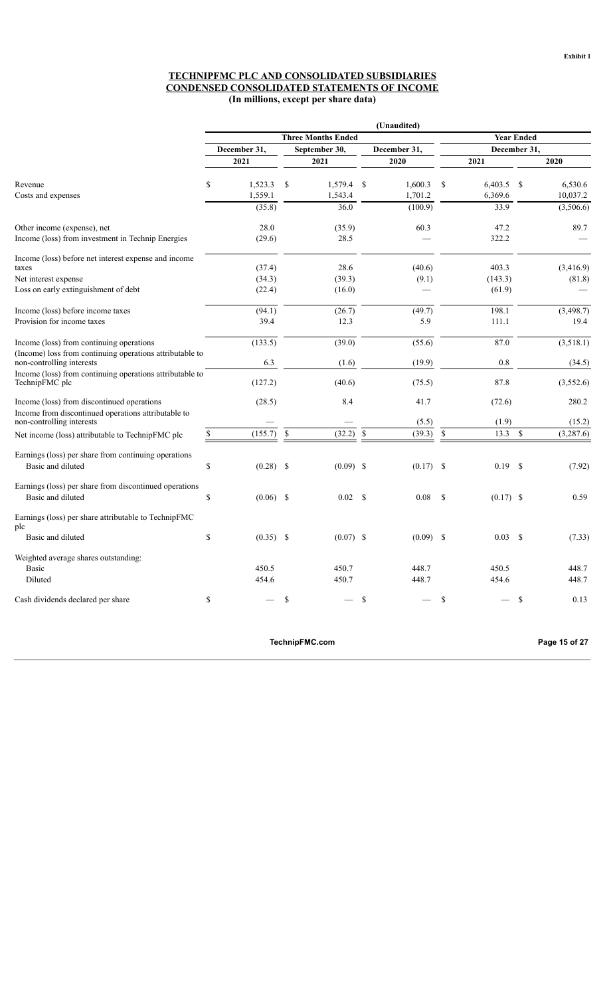#### **TECHNIPFMC PLC AND CONSOLIDATED SUBSIDIARIES CONDENSED CONSOLIDATED STATEMENTS OF INCOME (In millions, except per share data)**

|                                                                                       | (Unaudited)  |             |               |                           |               |                   |               |              |               |           |  |
|---------------------------------------------------------------------------------------|--------------|-------------|---------------|---------------------------|---------------|-------------------|---------------|--------------|---------------|-----------|--|
|                                                                                       |              |             |               | <b>Three Months Ended</b> |               | <b>Year Ended</b> |               |              |               |           |  |
|                                                                                       | December 31. |             | September 30, |                           |               | December 31,      |               | December 31. |               |           |  |
|                                                                                       |              | 2021        |               | 2021                      |               | 2020              |               | 2021         |               | 2020      |  |
| Revenue                                                                               | \$           | 1,523.3     | <sup>\$</sup> | 1.579.4                   | <sup>\$</sup> | 1.600.3           | <sup>\$</sup> | 6.403.5      | -S            | 6.530.6   |  |
| Costs and expenses                                                                    |              | 1,559.1     |               | 1,543.4                   |               | 1,701.2           |               | 6,369.6      |               | 10,037.2  |  |
|                                                                                       |              | (35.8)      |               | 36.0                      |               | (100.9)           |               | 33.9         |               | (3,506.6) |  |
| Other income (expense), net                                                           |              | 28.0        |               | (35.9)                    |               | 60.3              |               | 47.2         |               | 89.7      |  |
| Income (loss) from investment in Technip Energies                                     |              | (29.6)      |               | 28.5                      |               |                   |               | 322.2        |               |           |  |
| Income (loss) before net interest expense and income                                  |              |             |               |                           |               |                   |               |              |               |           |  |
| taxes                                                                                 |              | (37.4)      |               | 28.6                      |               | (40.6)            |               | 403.3        |               | (3,416.9) |  |
| Net interest expense                                                                  |              | (34.3)      |               | (39.3)                    |               | (9.1)             |               | (143.3)      |               | (81.8)    |  |
| Loss on early extinguishment of debt                                                  |              | (22.4)      |               | (16.0)                    |               |                   |               | (61.9)       |               |           |  |
| Income (loss) before income taxes                                                     |              | (94.1)      |               | (26.7)                    |               | (49.7)            |               | 198.1        |               | (3,498.7) |  |
| Provision for income taxes                                                            |              | 39.4        |               | 12.3                      |               | 5.9               |               | 111.1        |               | 19.4      |  |
| Income (loss) from continuing operations                                              |              | (133.5)     |               | (39.0)                    |               | (55.6)            |               | 87.0         |               | (3,518.1) |  |
| (Income) loss from continuing operations attributable to<br>non-controlling interests |              | 6.3         |               | (1.6)                     |               | (19.9)            |               | 0.8          |               | (34.5)    |  |
| Income (loss) from continuing operations attributable to<br>TechnipFMC plc            |              | (127.2)     |               | (40.6)                    |               | (75.5)            |               | 87.8         |               | (3,552.6) |  |
| Income (loss) from discontinued operations                                            |              | (28.5)      |               | 8.4                       |               | 41.7              |               | (72.6)       |               | 280.2     |  |
| Income from discontinued operations attributable to<br>non-controlling interests      |              |             |               |                           |               | (5.5)             |               | (1.9)        |               | (15.2)    |  |
| Net income (loss) attributable to TechnipFMC plc                                      | $\mathbb S$  | (155.7)     | $\mathbf{\$}$ | $(32.2)$ \$               |               | $(39.3)$ \$       |               | 13.3         | $\mathcal{S}$ | (3,287.6) |  |
| Earnings (loss) per share from continuing operations                                  |              |             |               |                           |               |                   |               |              |               |           |  |
| Basic and diluted                                                                     | \$           | (0.28)      | $\mathcal{S}$ | $(0.09)$ \$               |               | (0.17)            | -S            | 0.19         | -S            | (7.92)    |  |
| Earnings (loss) per share from discontinued operations                                |              |             |               |                           |               |                   |               |              |               |           |  |
| Basic and diluted                                                                     | \$           | $(0.06)$ \$ |               | $0.02 \quad$ \$           |               | 0.08              | <sup>\$</sup> | $(0.17)$ \$  |               | 0.59      |  |
| Earnings (loss) per share attributable to TechnipFMC<br>plc                           |              |             |               |                           |               |                   |               |              |               |           |  |
| Basic and diluted                                                                     | \$           | $(0.35)$ \$ |               | $(0.07)$ \$               |               | $(0.09)$ \$       |               | 0.03         | - \$          | (7.33)    |  |
| Weighted average shares outstanding:                                                  |              |             |               |                           |               |                   |               |              |               |           |  |
| Basic                                                                                 |              | 450.5       |               | 450.7                     |               | 448.7             |               | 450.5        |               | 448.7     |  |
| Diluted                                                                               |              | 454.6       |               | 450.7                     |               | 448.7             |               | 454.6        |               | 448.7     |  |
| Cash dividends declared per share                                                     | \$           |             | \$            |                           | \$            |                   | <sup>\$</sup> |              | $\mathcal{S}$ | 0.13      |  |
|                                                                                       |              |             |               |                           |               |                   |               |              |               |           |  |

**TechnipFMC.com Page 15 of [27](#page-28-0)**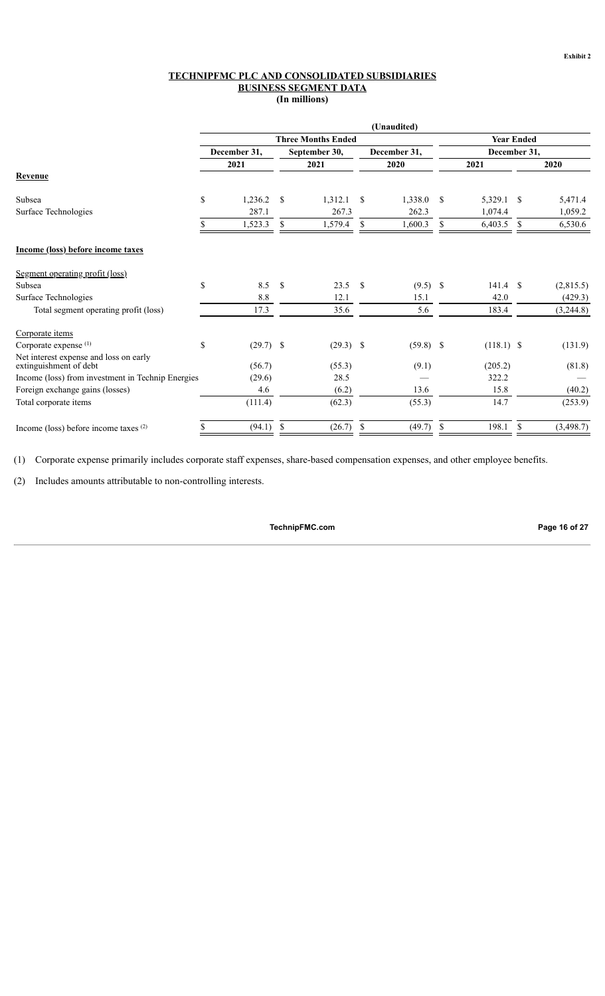#### **TECHNIPFMC PLC AND CONSOLIDATED SUBSIDIARIES BUSINESS SEGMENT DATA (In millions)**

|                                                                  |    |              |               |                           |               | (Unaudited)  |    |                   |               |            |
|------------------------------------------------------------------|----|--------------|---------------|---------------------------|---------------|--------------|----|-------------------|---------------|------------|
|                                                                  |    |              |               | <b>Three Months Ended</b> |               |              |    | <b>Year Ended</b> |               |            |
|                                                                  |    | December 31, |               | September 30,             |               | December 31. |    | December 31,      |               |            |
|                                                                  |    | 2021         |               | 2021                      |               | 2020         |    | 2021              |               | 2020       |
| Revenue                                                          |    |              |               |                           |               |              |    |                   |               |            |
| Subsea                                                           | \$ | 1,236.2      | <sup>\$</sup> | 1,312.1                   | \$            | 1,338.0      | S  | 5,329.1           | <sup>\$</sup> | 5,471.4    |
| Surface Technologies                                             |    | 287.1        |               | 267.3                     |               | 262.3        |    | 1,074.4           |               | 1,059.2    |
|                                                                  | S. | 1,523.3      | <sup>\$</sup> | 1,579.4                   | \$            | 1,600.3      | \$ | 6,403.5           | \$            | 6,530.6    |
| Income (loss) before income taxes                                |    |              |               |                           |               |              |    |                   |               |            |
| Segment operating profit (loss)                                  |    |              |               |                           |               |              |    |                   |               |            |
| Subsea                                                           | \$ | 8.5          | $\mathbf S$   | 23.5                      | <sup>\$</sup> | $(9.5)$ \$   |    | 141.4             | -S            | (2,815.5)  |
| Surface Technologies                                             |    | 8.8          |               | 12.1                      |               | 15.1         |    | 42.0              |               | (429.3)    |
| Total segment operating profit (loss)                            |    | 17.3         |               | 35.6                      |               | 5.6          |    | 183.4             |               | (3,244.8)  |
| Corporate items                                                  |    |              |               |                           |               |              |    |                   |               |            |
| Corporate expense (1)                                            | \$ | $(29.7)$ \$  |               | $(29.3)$ \$               |               | $(59.8)$ \$  |    | $(118.1)$ \$      |               | (131.9)    |
| Net interest expense and loss on early<br>extinguishment of debt |    | (56.7)       |               | (55.3)                    |               | (9.1)        |    | (205.2)           |               | (81.8)     |
| Income (loss) from investment in Technip Energies                |    | (29.6)       |               | 28.5                      |               |              |    | 322.2             |               |            |
| Foreign exchange gains (losses)                                  |    | 4.6          |               | (6.2)                     |               | 13.6         |    | 15.8              |               | (40.2)     |
| Total corporate items                                            |    | (111.4)      |               | (62.3)                    |               | (55.3)       |    | 14.7              |               | (253.9)    |
| Income (loss) before income taxes $(2)$                          |    | (94.1)       | \$            | (26.7)                    | S             | (49.7)       | S  | 198.1             | \$            | (3, 498.7) |

(1) Corporate expense primarily includes corporate staff expenses, share-based compensation expenses, and other employee benefits.

(2) Includes amounts attributable to non-controlling interests.

**TechnipFMC.com Page 16 of [27](#page-28-0)**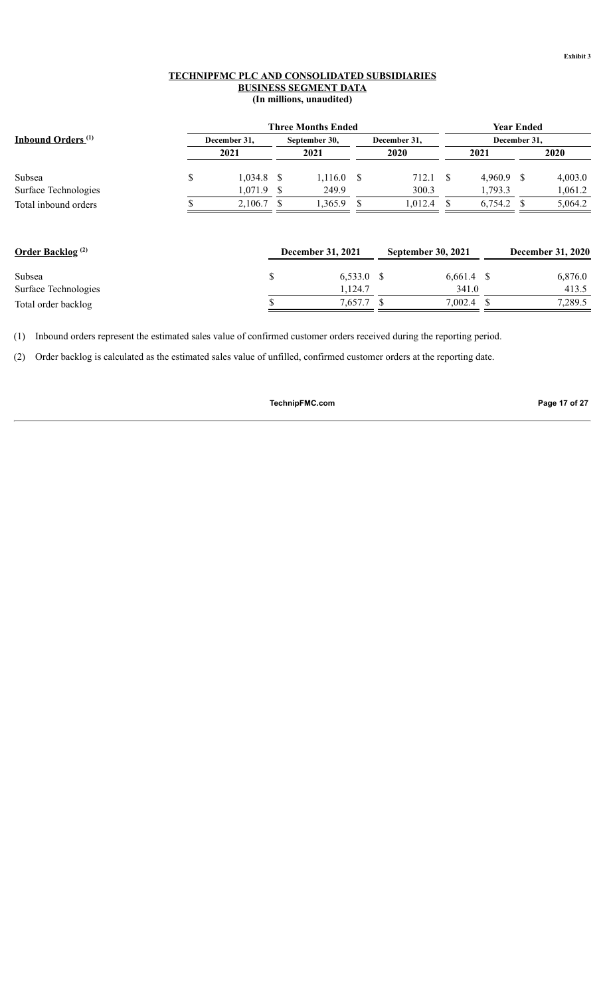#### **TECHNIPFMC PLC AND CONSOLIDATED SUBSIDIARIES BUSINESS SEGMENT DATA (In millions, unaudited)**

|                                     | <b>Three Months Ended</b> |              |      |                   |              |                    |              | <b>Year Ended</b> |              |                          |
|-------------------------------------|---------------------------|--------------|------|-------------------|--------------|--------------------|--------------|-------------------|--------------|--------------------------|
| Inbound Orders <sup>(1)</sup>       |                           | December 31, |      | September 30,     |              | December 31,       |              |                   | December 31, |                          |
|                                     |                           | 2021         |      | 2021              |              | 2020               | 2021         |                   |              | <b>2020</b>              |
| Subsea                              | \$                        | 1.034.8      | - \$ | $1,116.0$ \$      |              | 712.1              | S            | $4.960.9$ \$      |              | 4,003.0                  |
| Surface Technologies                |                           | 1,071.9      | -8   | 249.9             |              | 300.3              |              | 1,793.3           |              | 1,061.2                  |
| Total inbound orders                |                           | 2,106.7      |      | 1,365.9           |              | 1,012.4            |              | $6,754.2$ \$      |              | 5,064.2                  |
| <b>Order Backlog</b> <sup>(2)</sup> |                           |              |      | December 31, 2021 |              | September 30, 2021 |              |                   |              | <b>December 31, 2020</b> |
| Subsea                              |                           | \$           |      |                   | $6,533.0$ \$ |                    | $6,661.4$ \$ |                   |              | 6,876.0                  |
| Surface Technologies                |                           |              |      |                   | 1,124.7      |                    | 341.0        |                   |              | 413.5                    |
| Total order backlog                 |                           |              |      |                   | 7,657.7      |                    | 7,002.4      | S                 |              | 7,289.5                  |

(1) Inbound orders represent the estimated sales value of confirmed customer orders received during the reporting period.

(2) Order backlog is calculated as the estimated sales value of unfilled, confirmed customer orders at the reporting date.

**TechnipFMC.com Page 17 of [27](#page-28-0)**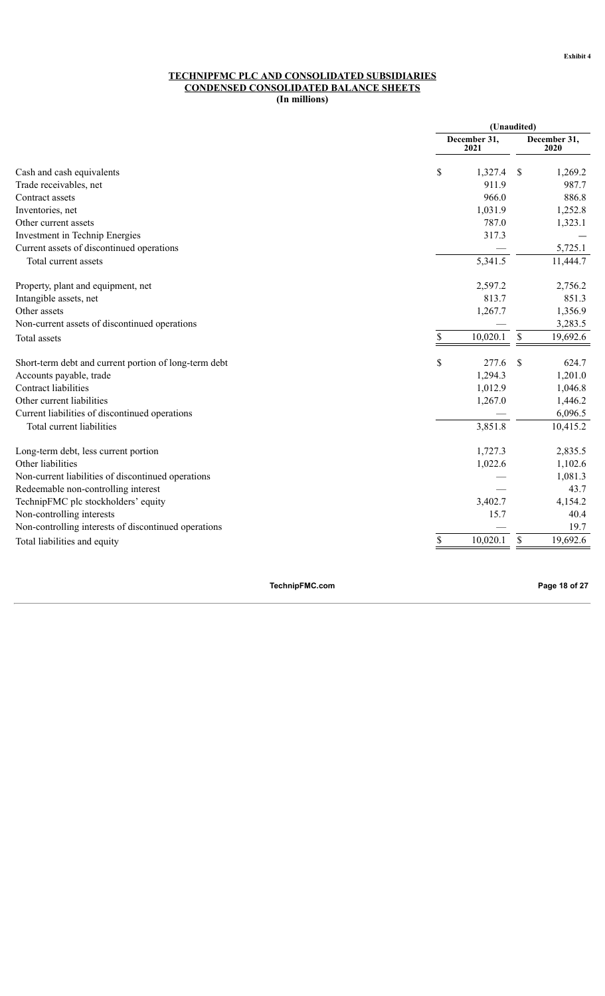#### **TECHNIPFMC PLC AND CONSOLIDATED SUBSIDIARIES CONDENSED CONSOLIDATED BALANCE SHEETS (In millions)**

| December 31,<br>December 31,<br>2021<br>2020<br>\$<br>1,327.4<br>1,269.2<br><sup>\$</sup><br>911.9<br>987.7<br>966.0<br>886.8<br>1,031.9<br>1,252.8<br>787.0<br>1,323.1<br>317.3<br>5,725.1<br>Total current assets<br>5,341.5<br>11,444.7<br>2,597.2<br>2,756.2<br>813.7<br>851.3<br>1,267.7<br>1,356.9<br>3,283.5<br>\$<br>10,020.1<br>19,692.6<br>\$<br>\$<br>277.6<br>624.7<br>\$.<br>1,294.3<br>1,201.0<br>1,012.9<br>1,046.8<br>1,267.0<br>1,446.2<br>6,096.5<br>Total current liabilities<br>3,851.8<br>10,415.2<br>1,727.3<br>2,835.5<br>1,022.6<br>1,102.6<br>1,081.3<br>43.7<br>3,402.7<br>4,154.2<br>15.7<br>40.4<br>19.7<br>10,020.1<br>\$<br>\$<br>19,692.6 |                                                       | (Unaudited) |  |  |
|--------------------------------------------------------------------------------------------------------------------------------------------------------------------------------------------------------------------------------------------------------------------------------------------------------------------------------------------------------------------------------------------------------------------------------------------------------------------------------------------------------------------------------------------------------------------------------------------------------------------------------------------------------------------------|-------------------------------------------------------|-------------|--|--|
|                                                                                                                                                                                                                                                                                                                                                                                                                                                                                                                                                                                                                                                                          |                                                       |             |  |  |
|                                                                                                                                                                                                                                                                                                                                                                                                                                                                                                                                                                                                                                                                          | Cash and cash equivalents                             |             |  |  |
|                                                                                                                                                                                                                                                                                                                                                                                                                                                                                                                                                                                                                                                                          | Trade receivables, net                                |             |  |  |
|                                                                                                                                                                                                                                                                                                                                                                                                                                                                                                                                                                                                                                                                          | Contract assets                                       |             |  |  |
|                                                                                                                                                                                                                                                                                                                                                                                                                                                                                                                                                                                                                                                                          | Inventories, net                                      |             |  |  |
|                                                                                                                                                                                                                                                                                                                                                                                                                                                                                                                                                                                                                                                                          | Other current assets                                  |             |  |  |
|                                                                                                                                                                                                                                                                                                                                                                                                                                                                                                                                                                                                                                                                          | Investment in Technip Energies                        |             |  |  |
|                                                                                                                                                                                                                                                                                                                                                                                                                                                                                                                                                                                                                                                                          | Current assets of discontinued operations             |             |  |  |
|                                                                                                                                                                                                                                                                                                                                                                                                                                                                                                                                                                                                                                                                          |                                                       |             |  |  |
|                                                                                                                                                                                                                                                                                                                                                                                                                                                                                                                                                                                                                                                                          | Property, plant and equipment, net                    |             |  |  |
|                                                                                                                                                                                                                                                                                                                                                                                                                                                                                                                                                                                                                                                                          | Intangible assets, net                                |             |  |  |
|                                                                                                                                                                                                                                                                                                                                                                                                                                                                                                                                                                                                                                                                          | Other assets                                          |             |  |  |
|                                                                                                                                                                                                                                                                                                                                                                                                                                                                                                                                                                                                                                                                          | Non-current assets of discontinued operations         |             |  |  |
|                                                                                                                                                                                                                                                                                                                                                                                                                                                                                                                                                                                                                                                                          | Total assets                                          |             |  |  |
|                                                                                                                                                                                                                                                                                                                                                                                                                                                                                                                                                                                                                                                                          | Short-term debt and current portion of long-term debt |             |  |  |
|                                                                                                                                                                                                                                                                                                                                                                                                                                                                                                                                                                                                                                                                          | Accounts payable, trade                               |             |  |  |
|                                                                                                                                                                                                                                                                                                                                                                                                                                                                                                                                                                                                                                                                          | <b>Contract liabilities</b>                           |             |  |  |
|                                                                                                                                                                                                                                                                                                                                                                                                                                                                                                                                                                                                                                                                          | Other current liabilities                             |             |  |  |
|                                                                                                                                                                                                                                                                                                                                                                                                                                                                                                                                                                                                                                                                          | Current liabilities of discontinued operations        |             |  |  |
|                                                                                                                                                                                                                                                                                                                                                                                                                                                                                                                                                                                                                                                                          |                                                       |             |  |  |
|                                                                                                                                                                                                                                                                                                                                                                                                                                                                                                                                                                                                                                                                          | Long-term debt, less current portion                  |             |  |  |
|                                                                                                                                                                                                                                                                                                                                                                                                                                                                                                                                                                                                                                                                          | Other liabilities                                     |             |  |  |
|                                                                                                                                                                                                                                                                                                                                                                                                                                                                                                                                                                                                                                                                          | Non-current liabilities of discontinued operations    |             |  |  |
|                                                                                                                                                                                                                                                                                                                                                                                                                                                                                                                                                                                                                                                                          | Redeemable non-controlling interest                   |             |  |  |
|                                                                                                                                                                                                                                                                                                                                                                                                                                                                                                                                                                                                                                                                          | TechnipFMC plc stockholders' equity                   |             |  |  |
|                                                                                                                                                                                                                                                                                                                                                                                                                                                                                                                                                                                                                                                                          | Non-controlling interests                             |             |  |  |
|                                                                                                                                                                                                                                                                                                                                                                                                                                                                                                                                                                                                                                                                          | Non-controlling interests of discontinued operations  |             |  |  |
|                                                                                                                                                                                                                                                                                                                                                                                                                                                                                                                                                                                                                                                                          | Total liabilities and equity                          |             |  |  |

**TechnipFMC.com Page 18 of [27](#page-28-0)**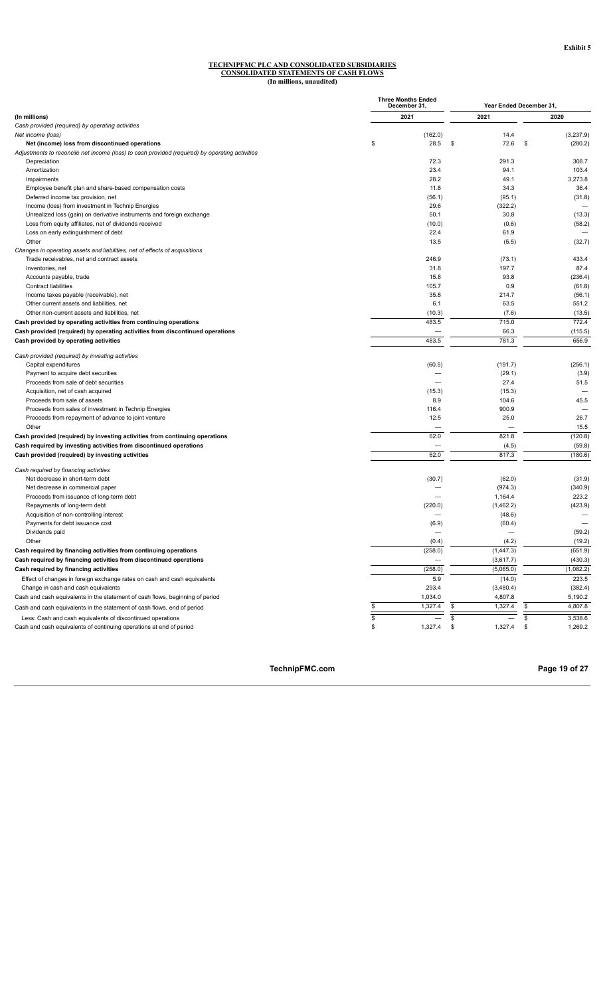#### **TECHNIPFMC PLC AND CONSOLIDATED SUBSIDIARIES CONSOLIDATED STATEMENTS OF CASH FLOWS (In millions, unaudited)**

|                                                                                                | <b>Three Months Ended</b><br>December 31. |               | Year Ended December 31, |
|------------------------------------------------------------------------------------------------|-------------------------------------------|---------------|-------------------------|
| (In millions)                                                                                  | 2021                                      | 2021          | 2020                    |
| Cash provided (required) by operating activities                                               |                                           |               |                         |
| Net income (loss)                                                                              | (162.0)                                   | 14.4          | (3,237.9)               |
| Net (income) loss from discontinued operations                                                 | \$<br>28.5                                | 72.6<br>\$    | (280.2)<br>\$           |
| Adjustments to reconcile net income (loss) to cash provided (required) by operating activities |                                           |               |                         |
| Depreciation                                                                                   | 72.3                                      | 291.3         | 308.7                   |
| Amortization                                                                                   | 23.4                                      | 94.1          | 103.4                   |
| Impairments                                                                                    | 28.2                                      | 49.1          | 3,273.8                 |
| Employee benefit plan and share-based compensation costs                                       | 11.8                                      | 34.3          | 36.4                    |
| Deferred income tax provision, net                                                             | (56.1)                                    | (95.1)        | (31.8)                  |
| Income (loss) from investment in Technip Energies                                              | 29.6                                      | (322.2)       |                         |
| Unrealized loss (gain) on derivative instruments and foreign exchange                          | 50.1                                      | 30.8          | (13.3)                  |
| Loss from equity affiliates, net of dividends received                                         | (10.0)                                    | (0.6)         | (58.2)                  |
| Loss on early extinguishment of debt                                                           | 22.4                                      | 61.9          |                         |
| Other                                                                                          | 13.5                                      | (5.5)         | (32.7)                  |
| Changes in operating assets and liabilities, net of effects of acquisitions                    |                                           |               |                         |
| Trade receivables, net and contract assets                                                     | 246.9                                     | (73.1)        | 433.4                   |
| Inventories, net                                                                               | 31.8                                      | 197.7         | 87.4                    |
| Accounts payable, trade                                                                        | 15.8                                      | 93.8          | (236.4)                 |
| <b>Contract liabilities</b>                                                                    | 105.7                                     | 0.9           | (61.8)                  |
| Income taxes payable (receivable), net                                                         | 35.8                                      | 214.7         | (56.1)                  |
| Other current assets and liabilities, net                                                      | 6.1                                       | 63.5          | 551.2                   |
| Other non-current assets and liabilities, net                                                  | (10.3)                                    | (7.6)         | (13.5)                  |
| Cash provided by operating activities from continuing operations                               | 483.5                                     | 715.0         | 772.4                   |
| Cash provided (required) by operating activities from discontinued operations                  |                                           | 66.3          | (115.5)                 |
| Cash provided by operating activities                                                          | 483.5                                     | 781.3         | 656.9                   |
|                                                                                                |                                           |               |                         |
| Cash provided (required) by investing activities                                               |                                           |               |                         |
| Capital expenditures                                                                           | (60.5)                                    | (191.7)       | (256.1)                 |
| Payment to acquire debt securities                                                             |                                           | (29.1)        | (3.9)                   |
| Proceeds from sale of debt securities                                                          |                                           | 27.4          | 51.5                    |
| Acquisition, net of cash acquired                                                              | (15.3)                                    | (15.3)        |                         |
| Proceeds from sale of assets                                                                   | 8.9                                       | 104.6         | 45.5                    |
| Proceeds from sales of investment in Technip Energies                                          | 116.4                                     | 900.9         |                         |
| Proceeds from repayment of advance to joint venture                                            | 12.5                                      | 25.0          | 26.7                    |
| Other                                                                                          |                                           |               | 15.5                    |
| Cash provided (required) by investing activities from continuing operations                    | 62.0                                      | 821.8         | (120.8)                 |
| Cash required by investing activities from discontinued operations                             |                                           | (4.5)         | (59.8)                  |
| Cash provided (required) by investing activities                                               | 62.0                                      | 817.3         | (180.6)                 |
|                                                                                                |                                           |               |                         |
| Cash required by financing activities                                                          |                                           |               |                         |
| Net decrease in short-term debt                                                                | (30.7)                                    | (62.0)        | (31.9)                  |
| Net decrease in commercial paper                                                               |                                           | (974.3)       | (340.9)                 |
| Proceeds from issuance of long-term debt                                                       |                                           | 1,164.4       | 223.2                   |
| Repayments of long-term debt                                                                   | (220.0)                                   | (1,462.2)     | (423.9)                 |
| Acquisition of non-controlling interest                                                        |                                           | (48.6)        |                         |
| Payments for debt issuance cost                                                                | (6.9)                                     | (60.4)        |                         |
| Dividends paid                                                                                 |                                           |               | (59.2)                  |
| Other                                                                                          | (0.4)                                     | (4.2)         | (19.2)                  |
| Cash required by financing activities from continuing operations                               | (258.0)                                   | (1, 447.3)    | (651.9)                 |
| Cash required by financing activities from discontinued operations                             |                                           | (3,617.7)     | (430.3)                 |
| Cash required by financing activities                                                          | (258.0)                                   | (5,065.0)     | (1,082.2)               |
|                                                                                                |                                           |               |                         |
| Effect of changes in foreign exchange rates on cash and cash equivalents                       | 5.9                                       | (14.0)        | 223.5                   |
| Change in cash and cash equivalents                                                            | 293.4                                     | (3,480.4)     | (382.4)                 |
| Cash and cash equivalents in the statement of cash flows, beginning of period                  | 1,034.0                                   | 4,807.8       | 5,190.2                 |
| Cash and cash equivalents in the statement of cash flows, end of period                        | 1,327.4<br>\$                             | \$<br>1,327.4 | \$<br>4,807.8           |
| Less: Cash and cash equivalents of discontinued operations                                     |                                           | \$            | \$<br>3,538.6           |
| Cash and cash equivalents of continuing operations at end of period                            | \$<br>1,327.4                             | 1,327.4<br>\$ | 1,269.2<br>\$           |

**TechnipFMC.com Page 19 of [27](#page-28-0)**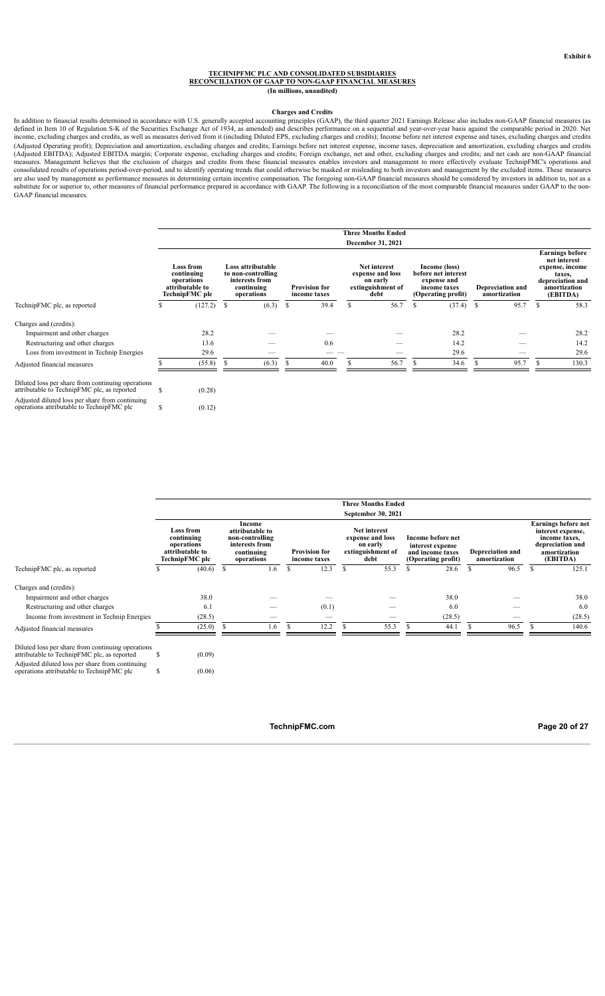#### **TECHNIPFMC PLC AND CONSOLIDATED SUBSIDIARIES RECONCILIATION OF GAAP TO NON-GAAP FINANCIAL MEASURES**

**(In millions, unaudited)**

#### **Charges and Credits**

In addition to financial results determined in accordance with U.S. generally accepted accounting principles (GAAP), the third quarter 2021 Earnings Release also includes non-GAAP financial measures (as defined in Item 10 of Regulation S-K of the Securities Exchange Act of 1934, as amended) and describes performance on a sequential and year-over-year basis against the comparable period in 2020. Net income, excluding charges and credits, as well as measures derived from it (including Diluted EPS, excluding charges and credits); Income before net interest expense and taxes, excluding charges and credits (Adjusted Operating profit); Depreciation and amortization, excluding charges and credits; Earnings before net interest expense, income taxes, depreciation and amortization, excluding charges and credits (Adjusted EBITDA); Adjusted EBITDA margin; Corporate expense, excluding charges and credits; Foreign exchange, net and other, excluding charges and credits; and net cash are non-GAAP financial measures. Management believes that the exclusion of charges and credits from these financial measures enables investors and management to more effectively evaluate TechnipFMC's operations and consolidated results of operations period-over-period, and to identify operating trends that could otherwise be masked or misleading to both investors and management by the excluded items. These measures are also used by management as performance measures in determining certain incentive compensation. The foregoing non-GAAP financial measures should be considered by investors in addition to, not as a substitute for or superior to, other measures of financial performance prepared in accordance with GAAP. The following is a reconciliation of the most comparable financial measures under GAAP to the non-GAAP financial measures.

|                                                                                                  |               |                                                                            |    |                                                                                       |    |                                      |     | <b>Three Months Ended</b>                                                        |   |                                                                                           |               |                                         |     |                                                                                                                     |
|--------------------------------------------------------------------------------------------------|---------------|----------------------------------------------------------------------------|----|---------------------------------------------------------------------------------------|----|--------------------------------------|-----|----------------------------------------------------------------------------------|---|-------------------------------------------------------------------------------------------|---------------|-----------------------------------------|-----|---------------------------------------------------------------------------------------------------------------------|
|                                                                                                  |               |                                                                            |    |                                                                                       |    |                                      |     | December 31, 2021                                                                |   |                                                                                           |               |                                         |     |                                                                                                                     |
|                                                                                                  |               | Loss from<br>continuing<br>operations<br>attributable to<br>TechnipFMC plc |    | Loss attributable<br>to non-controlling<br>interests from<br>continuing<br>operations |    | <b>Provision for</b><br>income taxes |     | <b>Net interest</b><br>expense and loss<br>on early<br>extinguishment of<br>debt |   | Income (loss)<br>before net interest<br>expense and<br>income taxes<br>(Operating profit) |               | <b>Depreciation and</b><br>amortization |     | <b>Earnings before</b><br>net interest<br>expense, income<br>taxes,<br>depreciation and<br>amortization<br>(EBITDA) |
| TechnipFMC plc, as reported                                                                      |               | (127.2)                                                                    | -S | (6.3)                                                                                 | -S | 39.4                                 | \$. | 56.7                                                                             | У | (37.4)                                                                                    | <sup>\$</sup> | 95.7                                    | \$. | 58.3                                                                                                                |
| Charges and (credits):                                                                           |               |                                                                            |    |                                                                                       |    |                                      |     |                                                                                  |   |                                                                                           |               |                                         |     |                                                                                                                     |
| Impairment and other charges                                                                     |               | 28.2                                                                       |    |                                                                                       |    |                                      |     |                                                                                  |   | 28.2                                                                                      |               |                                         |     | 28.2                                                                                                                |
| Restructuring and other charges                                                                  |               | 13.6                                                                       |    |                                                                                       |    | 0.6                                  |     |                                                                                  |   | 14.2                                                                                      |               |                                         |     | 14.2                                                                                                                |
| Loss from investment in Technip Energies                                                         |               | 29.6                                                                       |    |                                                                                       |    |                                      |     |                                                                                  |   | 29.6                                                                                      |               |                                         |     | 29.6                                                                                                                |
| Adjusted financial measures                                                                      |               | (55.8)                                                                     |    | (6.3)                                                                                 | -S | 40.0                                 |     | 56.7                                                                             |   | 34.6                                                                                      |               | 95.7                                    |     | 130.3                                                                                                               |
| Diluted loss per share from continuing operations<br>attributable to TechnipFMC plc, as reported | <sup>\$</sup> | (0.28)                                                                     |    |                                                                                       |    |                                      |     |                                                                                  |   |                                                                                           |               |                                         |     |                                                                                                                     |
| Adjusted diluted loss per share from continuing<br>operations attributable to TechnipFMC plc     | S             | (0.12)                                                                     |    |                                                                                       |    |                                      |     |                                                                                  |   |                                                                                           |               |                                         |     |                                                                                                                     |

|                                            |   |                                                                                   |    |                                                                                            |   |                                      |               | <b>Three Months Ended</b>                                                        |    |                                                                                 |               |                                  |               |                                                                                                                  |
|--------------------------------------------|---|-----------------------------------------------------------------------------------|----|--------------------------------------------------------------------------------------------|---|--------------------------------------|---------------|----------------------------------------------------------------------------------|----|---------------------------------------------------------------------------------|---------------|----------------------------------|---------------|------------------------------------------------------------------------------------------------------------------|
|                                            |   |                                                                                   |    |                                                                                            |   |                                      |               | September 30, 2021                                                               |    |                                                                                 |               |                                  |               |                                                                                                                  |
|                                            |   | <b>Loss from</b><br>continuing<br>operations<br>attributable to<br>TechnipFMC plc |    | Income<br>attributable to<br>non-controlling<br>interests from<br>continuing<br>operations |   | <b>Provision for</b><br>income taxes |               | <b>Net interest</b><br>expense and loss<br>on early<br>extinguishment of<br>debt |    | Income before net<br>interest expense<br>and income taxes<br>(Operating profit) |               | Depreciation and<br>amortization |               | <b>Earnings before net</b><br>interest expense,<br>income taxes,<br>depreciation and<br>amortization<br>(EBITDA) |
| TechnipFMC plc, as reported                | S | (40.6)                                                                            | -S | 1.6                                                                                        | S | 12.3                                 | <sup>\$</sup> | 55.3                                                                             | S  | 28.6                                                                            | <sup>\$</sup> | 96.5                             | <sup>\$</sup> | 125.1                                                                                                            |
| Charges and (credits):                     |   |                                                                                   |    |                                                                                            |   |                                      |               |                                                                                  |    |                                                                                 |               |                                  |               |                                                                                                                  |
| Impairment and other charges               |   | 38.0                                                                              |    |                                                                                            |   |                                      |               |                                                                                  |    | 38.0                                                                            |               |                                  |               | 38.0                                                                                                             |
| Restructuring and other charges            |   | 6.1                                                                               |    |                                                                                            |   | (0.1)                                |               | --                                                                               |    | 6.0                                                                             |               |                                  |               | 6.0                                                                                                              |
| Income from investment in Technip Energies |   | (28.5)                                                                            |    |                                                                                            |   | $\overline{\phantom{a}}$             |               |                                                                                  |    | (28.5)                                                                          |               |                                  |               | (28.5)                                                                                                           |
| Adjusted financial measures                |   | (25.0)                                                                            | S  | 1.6                                                                                        |   | 12.2                                 |               | 55.3                                                                             | -S | 44.1                                                                            |               | 96.5                             | -8            | 140.6                                                                                                            |
|                                            |   |                                                                                   |    |                                                                                            |   |                                      |               |                                                                                  |    |                                                                                 |               |                                  |               |                                                                                                                  |

Diluted loss per share from continuing operations attributable to TechnipFMC plc, as reported \$ (0.09) Adjusted diluted loss per share from continuing operations attributable to TechnipFMC plc \$ (0.06)

**TechnipFMC.com Page 20 of [27](#page-28-0)**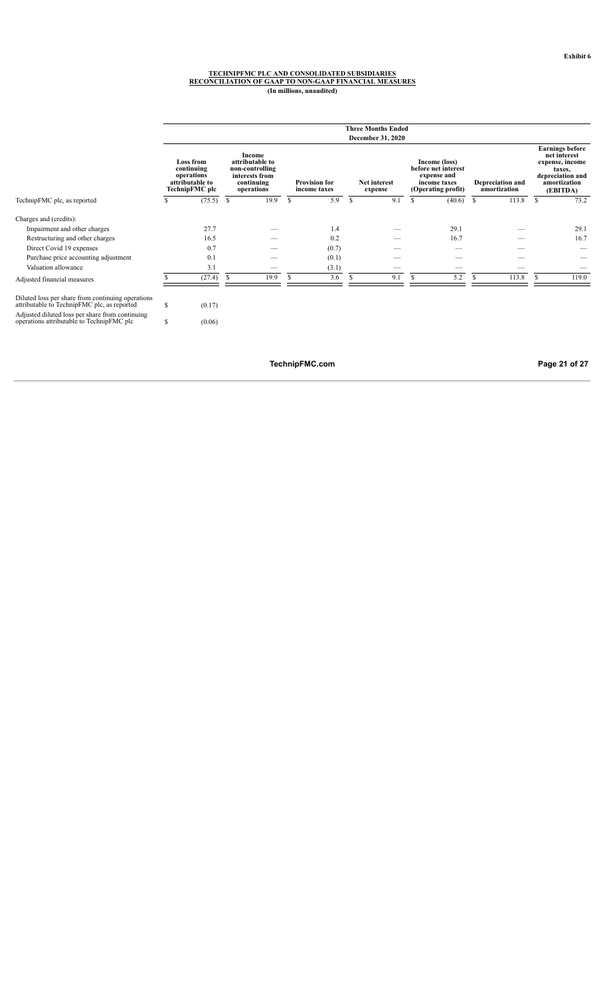#### **TECHNIPFMC PLC AND CONSOLIDATED SUBSIDIARIES RECONCILIATION OF GAAP TO NON-GAAP FINANCIAL MEASURES (In millions, unaudited)**

|                                                                                                  |   |                                                                                   |    |                                                                                            |   |                                      |              | <b>Three Months Ended</b>      |   |                                                                                           |    |                                  |               |                                                                                                                     |
|--------------------------------------------------------------------------------------------------|---|-----------------------------------------------------------------------------------|----|--------------------------------------------------------------------------------------------|---|--------------------------------------|--------------|--------------------------------|---|-------------------------------------------------------------------------------------------|----|----------------------------------|---------------|---------------------------------------------------------------------------------------------------------------------|
|                                                                                                  |   |                                                                                   |    |                                                                                            |   |                                      |              | <b>December 31, 2020</b>       |   |                                                                                           |    |                                  |               |                                                                                                                     |
|                                                                                                  |   | <b>Loss from</b><br>continuing<br>operations<br>attributable to<br>TechnipFMC plc |    | Income<br>attributable to<br>non-controlling<br>interests from<br>continuing<br>operations |   | <b>Provision for</b><br>income taxes |              | <b>Net interest</b><br>expense |   | Income (loss)<br>before net interest<br>expense and<br>income taxes<br>(Operating profit) |    | Depreciation and<br>amortization |               | <b>Earnings before</b><br>net interest<br>expense, income<br>taxes,<br>depreciation and<br>amortization<br>(EBITDA) |
| TechnipFMC plc, as reported                                                                      |   | (75.5)                                                                            | S. | 19.9                                                                                       | S | 5.9                                  | $\mathbb{S}$ | 9.1                            | S | (40.6)                                                                                    | -S | 113.8                            | <sup>\$</sup> | 73.2                                                                                                                |
| Charges and (credits):                                                                           |   |                                                                                   |    |                                                                                            |   |                                      |              |                                |   |                                                                                           |    |                                  |               |                                                                                                                     |
| Impairment and other charges                                                                     |   | 27.7                                                                              |    |                                                                                            |   | 1.4                                  |              |                                |   | 29.1                                                                                      |    |                                  |               | 29.1                                                                                                                |
| Restructuring and other charges                                                                  |   | 16.5                                                                              |    |                                                                                            |   | 0.2                                  |              |                                |   | 16.7                                                                                      |    |                                  |               | 16.7                                                                                                                |
| Direct Covid 19 expenses                                                                         |   | 0.7                                                                               |    |                                                                                            |   | (0.7)                                |              |                                |   |                                                                                           |    |                                  |               |                                                                                                                     |
| Purchase price accounting adjustment                                                             |   | 0.1                                                                               |    |                                                                                            |   | (0.1)                                |              |                                |   |                                                                                           |    |                                  |               |                                                                                                                     |
| Valuation allowance                                                                              |   | 3.1                                                                               |    |                                                                                            |   | (3.1)                                |              |                                |   |                                                                                           |    |                                  |               |                                                                                                                     |
| Adjusted financial measures                                                                      |   | (27.4)                                                                            | S. | 19.9                                                                                       |   | 3.6                                  |              | 9.1                            |   | 5.2                                                                                       |    | 113.8                            |               | 119.0                                                                                                               |
| Diluted loss per share from continuing operations<br>attributable to TechnipFMC plc, as reported | S | (0.17)                                                                            |    |                                                                                            |   |                                      |              |                                |   |                                                                                           |    |                                  |               |                                                                                                                     |
| Adjusted diluted loss per share from continuing<br>operations attributable to TechnipFMC plc     | S | (0.06)                                                                            |    |                                                                                            |   |                                      |              |                                |   |                                                                                           |    |                                  |               |                                                                                                                     |

**TechnipFMC.com Page 21 of [27](#page-28-0)**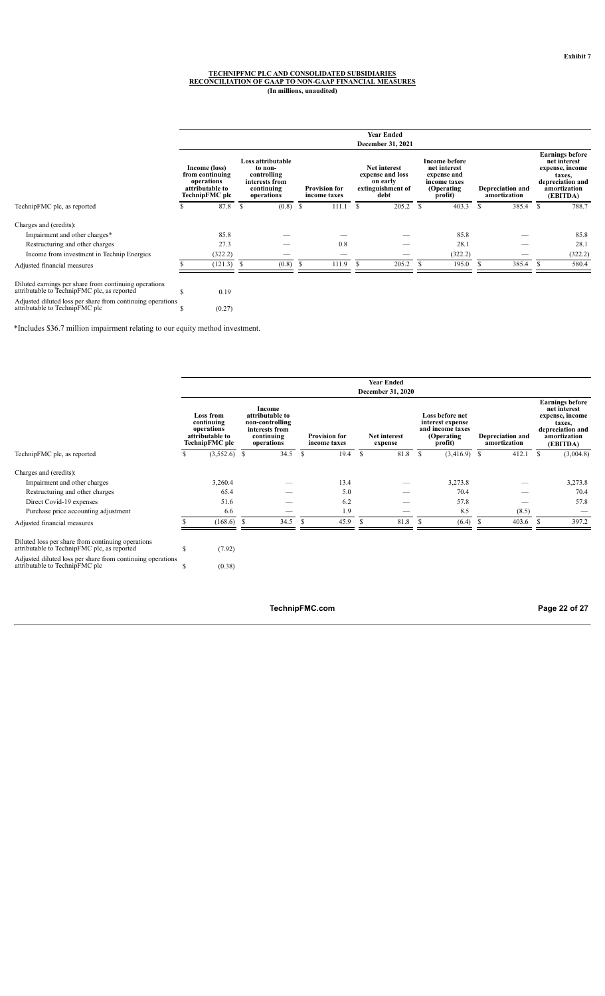#### **TECHNIPFMC PLC AND CONSOLIDATED SUBSIDIARIES RECONCILIATION OF GAAP TO NON-GAAP FINANCIAL MEASURES (In millions, unaudited)**

|                                                                                                      |   |                                                                                     |    |                                                                                           |    |                                      |   | <b>Year Ended</b>                                                                |          |                                                                                       |    |                                         |     |                                                                                                                     |
|------------------------------------------------------------------------------------------------------|---|-------------------------------------------------------------------------------------|----|-------------------------------------------------------------------------------------------|----|--------------------------------------|---|----------------------------------------------------------------------------------|----------|---------------------------------------------------------------------------------------|----|-----------------------------------------|-----|---------------------------------------------------------------------------------------------------------------------|
|                                                                                                      |   |                                                                                     |    |                                                                                           |    |                                      |   | December 31, 2021                                                                |          |                                                                                       |    |                                         |     |                                                                                                                     |
|                                                                                                      |   | Income (loss)<br>from continuing<br>operations<br>attributable to<br>TechnipFMC plc |    | Loss attributable<br>to non-<br>controlling<br>interests from<br>continuing<br>operations |    | <b>Provision for</b><br>income taxes |   | <b>Net interest</b><br>expense and loss<br>on early<br>extinguishment of<br>debt |          | Income before<br>net interest<br>expense and<br>income taxes<br>(Operating<br>profit) |    | <b>Depreciation and</b><br>amortization |     | <b>Earnings before</b><br>net interest<br>expense, income<br>taxes,<br>depreciation and<br>amortization<br>(EBITDA) |
| TechnipFMC plc, as reported                                                                          |   | 87.8                                                                                | S  | (0.8)                                                                                     | -S | 111.1                                | S | 205.2                                                                            | <b>S</b> | 403.3                                                                                 | S  | 385.4                                   | - S | 788.7                                                                                                               |
| Charges and (credits):                                                                               |   |                                                                                     |    |                                                                                           |    |                                      |   |                                                                                  |          |                                                                                       |    |                                         |     |                                                                                                                     |
| Impairment and other charges*                                                                        |   | 85.8                                                                                |    |                                                                                           |    |                                      |   |                                                                                  |          | 85.8                                                                                  |    |                                         |     | 85.8                                                                                                                |
| Restructuring and other charges                                                                      |   | 27.3                                                                                |    |                                                                                           |    | 0.8                                  |   |                                                                                  |          | 28.1                                                                                  |    |                                         |     | 28.1                                                                                                                |
| Income from investment in Technip Energies                                                           |   | (322.2)                                                                             |    |                                                                                           |    |                                      |   |                                                                                  |          | (322.2)                                                                               |    |                                         |     | (322.2)                                                                                                             |
| Adjusted financial measures                                                                          |   | (121.3)                                                                             | -S | (0.8)                                                                                     | -S | 111.9                                |   | 205.2                                                                            | <b>S</b> | 195.0                                                                                 | -S | 385.4                                   |     | 580.4                                                                                                               |
| Diluted earnings per share from continuing operations<br>attributable to TechnipFMC plc, as reported |   | 0.19                                                                                |    |                                                                                           |    |                                      |   |                                                                                  |          |                                                                                       |    |                                         |     |                                                                                                                     |
| Adjusted diluted loss per share from continuing operations<br>attributable to TechnipFMC plc         | ъ | (0.27)                                                                              |    |                                                                                           |    |                                      |   |                                                                                  |          |                                                                                       |    |                                         |     |                                                                                                                     |

\*Includes \$36.7 million impairment relating to our equity method investment.

|                                                                                                                                                                                                  |        |                                                                                   |                                                                                            |   |                                      | <b>Year Ended</b>              |   |                                                                                  |                                  |    |                                                                                                                     |
|--------------------------------------------------------------------------------------------------------------------------------------------------------------------------------------------------|--------|-----------------------------------------------------------------------------------|--------------------------------------------------------------------------------------------|---|--------------------------------------|--------------------------------|---|----------------------------------------------------------------------------------|----------------------------------|----|---------------------------------------------------------------------------------------------------------------------|
|                                                                                                                                                                                                  |        |                                                                                   |                                                                                            |   |                                      | December 31, 2020              |   |                                                                                  |                                  |    |                                                                                                                     |
|                                                                                                                                                                                                  |        | <b>Loss from</b><br>continuing<br>operations<br>attributable to<br>TechnipFMC plc | Income<br>attributable to<br>non-controlling<br>interests from<br>continuing<br>operations |   | <b>Provision for</b><br>income taxes | <b>Net interest</b><br>expense |   | Loss before net<br>interest expense<br>and income taxes<br>(Operating<br>profit) | Depreciation and<br>amortization |    | <b>Earnings before</b><br>net interest<br>expense, income<br>taxes,<br>depreciation and<br>amortization<br>(EBITDA) |
| TechnipFMC plc, as reported                                                                                                                                                                      |        | $(3,552.6)$ \$                                                                    | 34.5                                                                                       | S | $19.4$ \$                            | 81.8                           | S | $(3,416.9)$ \$                                                                   | 412.1                            | -S | (3,004.8)                                                                                                           |
| Charges and (credits):                                                                                                                                                                           |        |                                                                                   |                                                                                            |   |                                      |                                |   |                                                                                  |                                  |    |                                                                                                                     |
| Impairment and other charges                                                                                                                                                                     |        | 3,260.4                                                                           |                                                                                            |   | 13.4                                 |                                |   | 3,273.8                                                                          |                                  |    | 3,273.8                                                                                                             |
| Restructuring and other charges                                                                                                                                                                  |        | 65.4                                                                              |                                                                                            |   | 5.0                                  |                                |   | 70.4                                                                             |                                  |    | 70.4                                                                                                                |
| Direct Covid-19 expenses                                                                                                                                                                         |        | 51.6                                                                              |                                                                                            |   | 6.2                                  |                                |   | 57.8                                                                             |                                  |    | 57.8                                                                                                                |
| Purchase price accounting adjustment                                                                                                                                                             |        | 6.6                                                                               |                                                                                            |   | 1.9                                  |                                |   | 8.5                                                                              | (8.5)                            |    |                                                                                                                     |
| Adjusted financial measures                                                                                                                                                                      |        | $(168.6)$ \$                                                                      | 34.5                                                                                       | S | 45.9                                 | 81.8                           |   | $(6.4)$ \$                                                                       | 403.6                            |    | 397.2                                                                                                               |
| Diluted loss per share from continuing operations<br>attributable to TechnipFMC plc, as reported<br>Adjusted diluted loss per share from continuing operations<br>attributable to TechnipFMC plc | S<br>ъ | (7.92)<br>(0.38)                                                                  |                                                                                            |   |                                      |                                |   |                                                                                  |                                  |    |                                                                                                                     |

**TechnipFMC.com Page 22 of [27](#page-28-0)**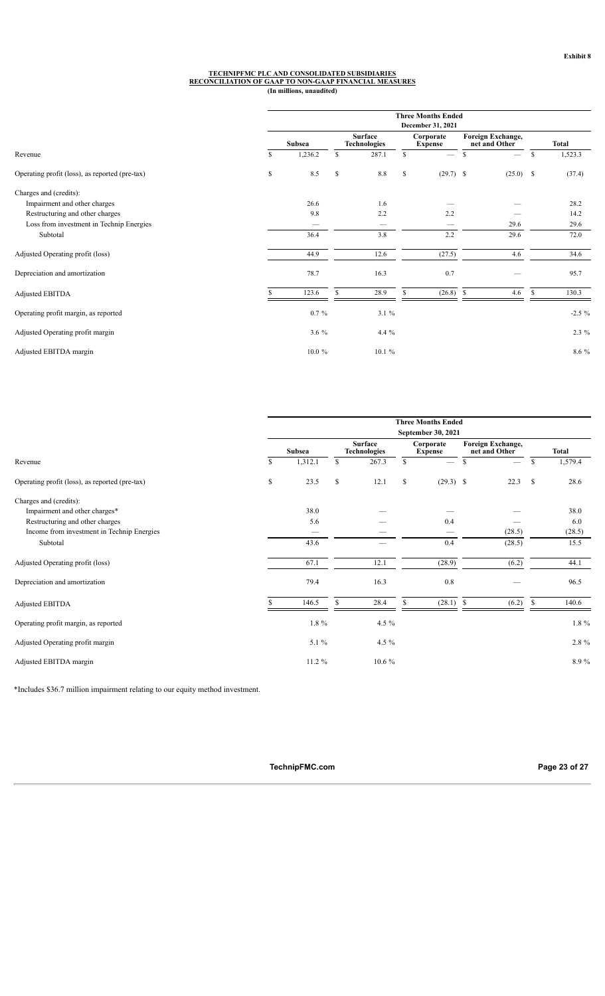#### **TECHNIPFMC PLC AND CONSOLIDATED SUBSIDIARIES RECONCILIATION OF GAAP TO NON-GAAP FINANCIAL MEASURES**

**(In millions, unaudited)**

|                                                |    |                 |    |                                 |    | <b>Three Months Ended</b><br>December 31, 2021 |      |                                    |              |              |
|------------------------------------------------|----|-----------------|----|---------------------------------|----|------------------------------------------------|------|------------------------------------|--------------|--------------|
|                                                |    | Subsea          |    | Surface<br><b>Technologies</b>  |    | Corporate<br><b>Expense</b>                    |      | Foreign Exchange,<br>net and Other |              | <b>Total</b> |
| Revenue                                        | S. | 1,236.2         | \$ | 287.1                           | \$ | $\overline{\phantom{m}}$                       | \$   | $=$                                | \$           | 1,523.3      |
| Operating profit (loss), as reported (pre-tax) | \$ | 8.5             | \$ | 8.8                             | \$ | $(29.7)$ \$                                    |      | $(25.0)$ \$                        |              | (37.4)       |
| Charges and (credits):                         |    |                 |    |                                 |    |                                                |      |                                    |              |              |
| Impairment and other charges                   |    | 26.6            |    | 1.6                             |    |                                                |      |                                    |              | 28.2         |
| Restructuring and other charges                |    | 9.8             |    | 2.2                             |    | 2.2                                            |      |                                    |              | 14.2         |
| Loss from investment in Technip Energies       |    | $\qquad \qquad$ |    | $\hspace{0.1mm}-\hspace{0.1mm}$ |    |                                                |      | 29.6                               |              | 29.6         |
| Subtotal                                       |    | 36.4            |    | 3.8                             |    | 2.2                                            |      | 29.6                               |              | 72.0         |
| Adjusted Operating profit (loss)               |    | 44.9            |    | 12.6                            |    | (27.5)                                         |      | 4.6                                |              | 34.6         |
| Depreciation and amortization                  |    | 78.7            |    | 16.3                            |    | 0.7                                            |      |                                    |              | 95.7         |
| Adjusted EBITDA                                |    | 123.6           | S  | 28.9                            | S  | (26.8)                                         | - \$ | 4.6                                | $\mathbb{S}$ | 130.3        |
| Operating profit margin, as reported           |    | $0.7 \%$        |    | 3.1 %                           |    |                                                |      |                                    |              | $-2.5 \%$    |
| Adjusted Operating profit margin               |    | 3.6 $%$         |    | 4.4 %                           |    |                                                |      |                                    |              | 2.3 %        |
| Adjusted EBITDA margin                         |    | 10.0%           |    | 10.1%                           |    |                                                |      |                                    |              | 8.6 %        |
|                                                |    |                 |    |                                 |    |                                                |      |                                    |              |              |

|                                                |               |              |                                       |              | <b>Three Months Ended</b><br>September 30, 2021 |                                    |               |              |
|------------------------------------------------|---------------|--------------|---------------------------------------|--------------|-------------------------------------------------|------------------------------------|---------------|--------------|
|                                                | <b>Subsea</b> |              | <b>Surface</b><br><b>Technologies</b> |              | Corporate<br><b>Expense</b>                     | Foreign Exchange,<br>net and Other |               | <b>Total</b> |
| Revenue                                        | \$<br>1,312.1 | \$           | 267.3                                 | $\mathbb{S}$ | $\equiv$                                        | \$<br>$\equiv$                     | \$            | 1,579.4      |
| Operating profit (loss), as reported (pre-tax) | \$<br>23.5    | $\mathbb{S}$ | 12.1                                  | \$           | $(29.3)$ \$                                     | 22.3                               | <sup>\$</sup> | 28.6         |
| Charges and (credits):                         |               |              |                                       |              |                                                 |                                    |               |              |
| Impairment and other charges*                  | 38.0          |              |                                       |              |                                                 |                                    |               | 38.0         |
| Restructuring and other charges                | 5.6           |              |                                       |              | 0.4                                             |                                    |               | 6.0          |
| Income from investment in Technip Energies     |               |              |                                       |              |                                                 | (28.5)                             |               | (28.5)       |
| Subtotal                                       | 43.6          |              |                                       |              | 0.4                                             | (28.5)                             |               | 15.5         |
| Adjusted Operating profit (loss)               | 67.1          |              | 12.1                                  |              | (28.9)                                          | (6.2)                              |               | 44.1         |
| Depreciation and amortization                  | 79.4          |              | 16.3                                  |              | 0.8                                             |                                    |               | 96.5         |
| Adjusted EBITDA                                | 146.5         |              | 28.4                                  | \$           | $(28.1)$ \$                                     | (6.2)                              | \$            | 140.6        |
| Operating profit margin, as reported           | $1.8\%$       |              | 4.5 $%$                               |              |                                                 |                                    |               | $1.8\ \%$    |
| Adjusted Operating profit margin               | 5.1 %         |              | 4.5 $%$                               |              |                                                 |                                    |               | 2.8 %        |
| Adjusted EBITDA margin                         | $11.2\%$      |              | $10.6\%$                              |              |                                                 |                                    |               | 8.9%         |

\*Includes \$36.7 million impairment relating to our equity method investment.

**TechnipFMC.com Page 23 of [27](#page-28-0)**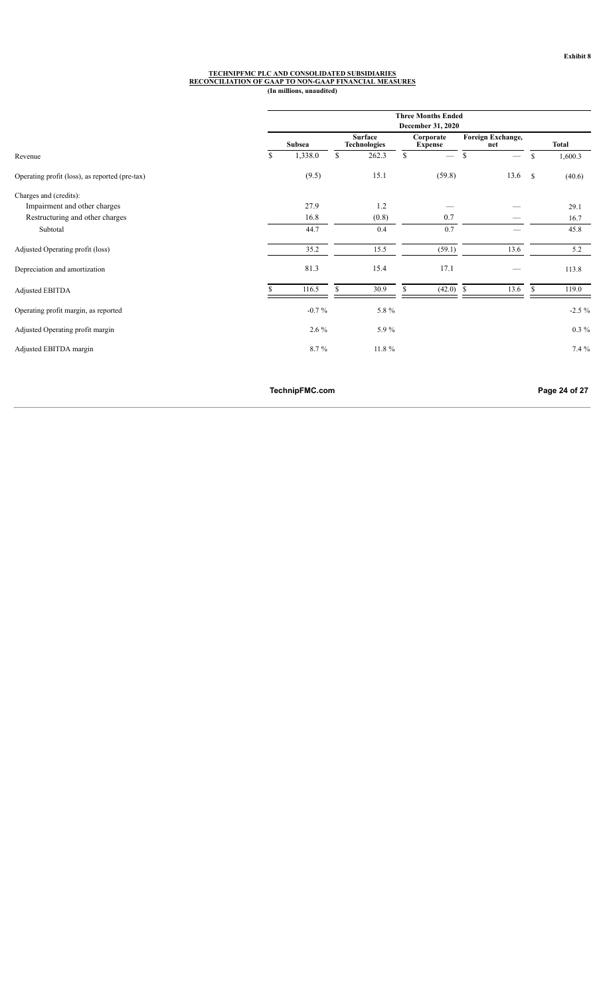#### **TECHNIPFMC PLC AND CONSOLIDATED SUBSIDIARIES RECONCILIATION OF GAAP TO NON-GAAP FINANCIAL MEASURES (In millions, unaudited)**

|                                                |               |         |                                       | <b>Three Months Ended</b><br>December 31, 2020 |              |                          |               |              |
|------------------------------------------------|---------------|---------|---------------------------------------|------------------------------------------------|--------------|--------------------------|---------------|--------------|
|                                                |               | Subsea  | <b>Surface</b><br><b>Technologies</b> | Corporate<br><b>Expense</b>                    |              | Foreign Exchange,<br>net |               | <b>Total</b> |
| Revenue                                        | <sup>\$</sup> | 1,338.0 | \$<br>262.3                           | \$<br>$\overline{\phantom{m}}$                 | $\mathbb{S}$ | $\overline{\phantom{0}}$ | \$            | 1,600.3      |
| Operating profit (loss), as reported (pre-tax) |               | (9.5)   | 15.1                                  | (59.8)                                         |              | 13.6                     | <sup>\$</sup> | (40.6)       |
| Charges and (credits):                         |               |         |                                       |                                                |              |                          |               |              |
| Impairment and other charges                   |               | 27.9    | 1.2                                   |                                                |              |                          |               | 29.1         |
| Restructuring and other charges                |               | 16.8    | (0.8)                                 | 0.7                                            |              |                          |               | 16.7         |
| Subtotal                                       |               | 44.7    | 0.4                                   | 0.7                                            |              |                          |               | 45.8         |
| Adjusted Operating profit (loss)               |               | 35.2    | 15.5                                  | (59.1)                                         |              | 13.6                     |               | 5.2          |
| Depreciation and amortization                  |               | 81.3    | 15.4                                  | 17.1                                           |              |                          |               | 113.8        |
| Adjusted EBITDA                                |               | 116.5   | \$<br>30.9                            | \$<br>$(42.0)$ \$                              |              | 13.6                     | \$            | 119.0        |
| Operating profit margin, as reported           |               | $-0.7%$ | 5.8%                                  |                                                |              |                          |               | $-2.5\%$     |
| Adjusted Operating profit margin               |               | $2.6\%$ | 5.9%                                  |                                                |              |                          |               | $0.3\%$      |
| Adjusted EBITDA margin                         |               | 8.7%    | $11.8\%$                              |                                                |              |                          |               | 7.4 %        |

**TechnipFMC.com Page 24 of [27](#page-28-0)**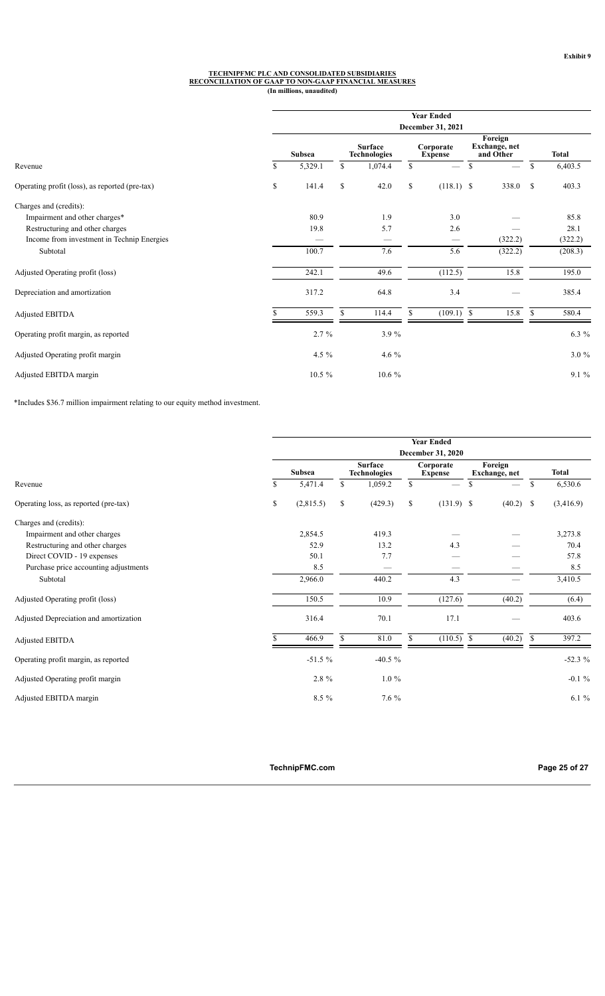#### **TECHNIPFMC PLC AND CONSOLIDATED SUBSIDIARIES RECONCILIATION OF GAAP TO NON-GAAP FINANCIAL MEASURES**

**(In millions, unaudited)**

|                                                |               |              |                                       | <b>Year Ended</b>                                |                                       |               |              |
|------------------------------------------------|---------------|--------------|---------------------------------------|--------------------------------------------------|---------------------------------------|---------------|--------------|
|                                                | <b>Subsea</b> |              | <b>Surface</b><br><b>Technologies</b> | December 31, 2021<br>Corporate<br><b>Expense</b> | Foreign<br>Exchange, net<br>and Other |               | <b>Total</b> |
| Revenue                                        | \$<br>5,329.1 | \$           | 1,074.4                               | \$                                               | \$<br>$\overline{\phantom{0}}$        | \$            | 6,403.5      |
| Operating profit (loss), as reported (pre-tax) | \$<br>141.4   | $\mathbb{S}$ | 42.0                                  | \$<br>$(118.1)$ \$                               | 338.0                                 | <sup>\$</sup> | 403.3        |
| Charges and (credits):                         |               |              |                                       |                                                  |                                       |               |              |
| Impairment and other charges*                  | 80.9          |              | 1.9                                   | 3.0                                              |                                       |               | 85.8         |
| Restructuring and other charges                | 19.8          |              | 5.7                                   | 2.6                                              |                                       |               | 28.1         |
| Income from investment in Technip Energies     |               |              |                                       |                                                  | (322.2)                               |               | (322.2)      |
| Subtotal                                       | 100.7         |              | 7.6                                   | 5.6                                              | (322.2)                               |               | (208.3)      |
| Adjusted Operating profit (loss)               | 242.1         |              | 49.6                                  | (112.5)                                          | 15.8                                  |               | 195.0        |
| Depreciation and amortization                  | 317.2         |              | 64.8                                  | 3.4                                              |                                       |               | 385.4        |
| Adjusted EBITDA                                | 559.3         | S            | 114.4                                 | \$<br>$(109.1)$ \$                               | 15.8                                  | \$            | 580.4        |
| Operating profit margin, as reported           | $2.7\%$       |              | 3.9%                                  |                                                  |                                       |               | 6.3 %        |
| Adjusted Operating profit margin               | 4.5 $%$       |              | 4.6 $%$                               |                                                  |                                       |               | $3.0 \%$     |
| Adjusted EBITDA margin                         | 10.5 %        |              | 10.6 %                                |                                                  |                                       |               | 9.1 %        |

\*Includes \$36.7 million impairment relating to our equity method investment.

|                                        |                 |                                       | <b>Year Ended</b><br><b>December 31, 2020</b> |                          |    |              |
|----------------------------------------|-----------------|---------------------------------------|-----------------------------------------------|--------------------------|----|--------------|
|                                        | <b>Subsea</b>   | <b>Surface</b><br><b>Technologies</b> | Corporate<br><b>Expense</b>                   | Foreign<br>Exchange, net |    | <b>Total</b> |
| Revenue                                | \$<br>5,471.4   | \$<br>1,059.2                         | \$                                            | \$                       | \$ | 6,530.6      |
| Operating loss, as reported (pre-tax)  | \$<br>(2,815.5) | \$<br>(429.3)                         | \$<br>$(131.9)$ \$                            | (40.2)                   | -S | (3,416.9)    |
| Charges and (credits):                 |                 |                                       |                                               |                          |    |              |
| Impairment and other charges           | 2,854.5         | 419.3                                 |                                               |                          |    | 3,273.8      |
| Restructuring and other charges        | 52.9            | 13.2                                  | 4.3                                           |                          |    | 70.4         |
| Direct COVID - 19 expenses             | 50.1            | 7.7                                   |                                               |                          |    | 57.8         |
| Purchase price accounting adjustments  | 8.5             |                                       |                                               |                          |    | 8.5          |
| Subtotal                               | 2,966.0         | 440.2                                 | 4.3                                           |                          |    | 3,410.5      |
| Adjusted Operating profit (loss)       | 150.5           | 10.9                                  | (127.6)                                       | (40.2)                   |    | (6.4)        |
| Adjusted Depreciation and amortization | 316.4           | 70.1                                  | 17.1                                          |                          |    | 403.6        |
| Adjusted EBITDA                        | 466.9           | \$<br>81.0                            | \$<br>$(110.5)$ \$                            | (40.2)                   | \$ | 397.2        |
| Operating profit margin, as reported   | $-51.5 \%$      | $-40.5 \%$                            |                                               |                          |    | $-52.3%$     |
| Adjusted Operating profit margin       | 2.8 %           | $1.0 \%$                              |                                               |                          |    | $-0.1 \%$    |
| Adjusted EBITDA margin                 | $8.5\%$         | 7.6 %                                 |                                               |                          |    | $6.1\%$      |

**TechnipFMC.com Page 25 of [27](#page-28-0)**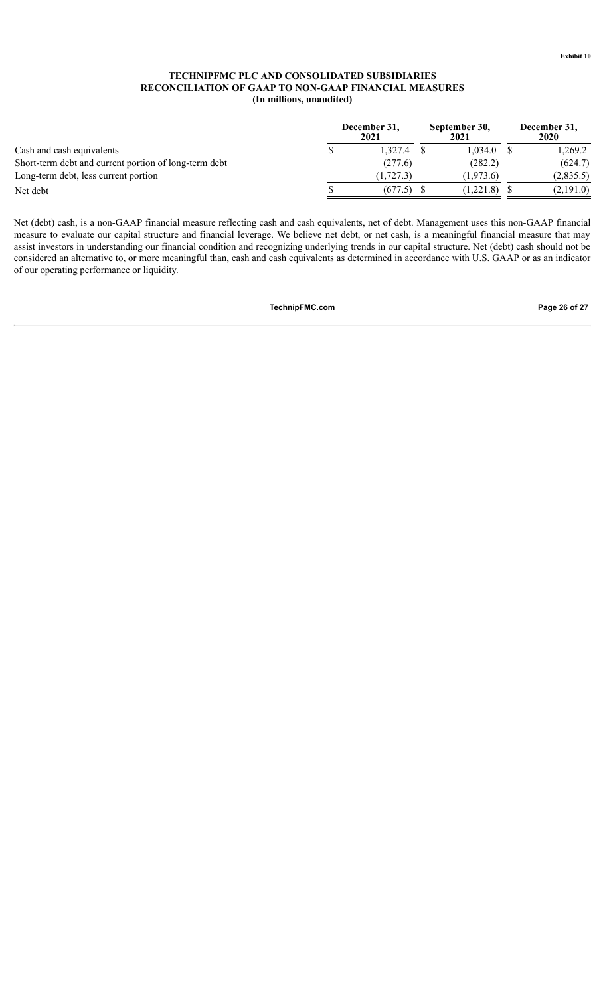#### **TECHNIPFMC PLC AND CONSOLIDATED SUBSIDIARIES RECONCILIATION OF GAAP TO NON-GAAP FINANCIAL MEASURES (In millions, unaudited)**

|                                                       | December 31,<br>2021 | September 30,<br>2021 | December 31,<br>2020 |
|-------------------------------------------------------|----------------------|-----------------------|----------------------|
| Cash and cash equivalents                             | 1,327.4              | 1.034.0               | 1,269.2              |
| Short-term debt and current portion of long-term debt | (277.6)              | (282.2)               | (624.7)              |
| Long-term debt, less current portion                  | (1.727.3)            | (1.973.6)             | (2,835.5)            |
| Net debt                                              | (677.5)              | (1,221.8)             | (2,191.0)            |

<span id="page-28-0"></span>Net (debt) cash, is a non-GAAP financial measure reflecting cash and cash equivalents, net of debt. Management uses this non-GAAP financial measure to evaluate our capital structure and financial leverage. We believe net debt, or net cash, is a meaningful financial measure that may assist investors in understanding our financial condition and recognizing underlying trends in our capital structure. Net (debt) cash should not be considered an alternative to, or more meaningful than, cash and cash equivalents as determined in accordance with U.S. GAAP or as an indicator of our operating performance or liquidity.

**TechnipFMC.com Page 26 of [27](#page-28-0)**